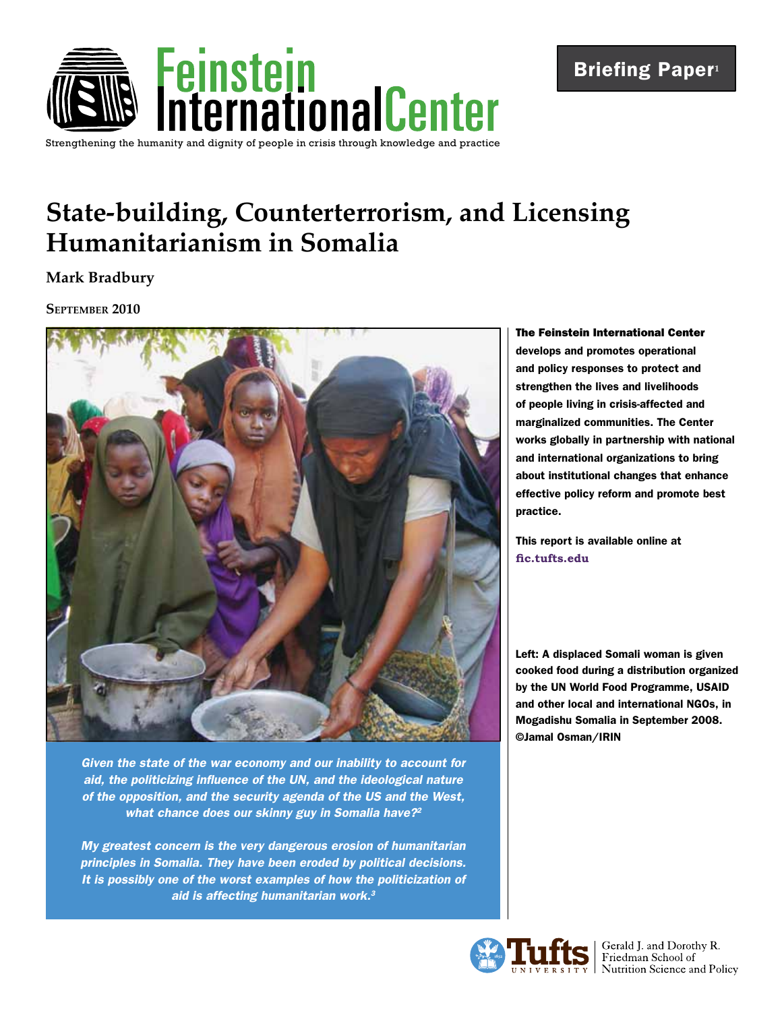

# Briefing Paper**<sup>1</sup>**

# **State-building, Counterterrorism, and Licensing Humanitarianism in Somalia**

**Mark Bradbury**

### **September 2010**



*Given the state of the war economy and our inability to account for aid, the politicizing influence of the UN, and the ideological nature of the opposition, and the security agenda of the US and the West, what chance does our skinny guy in Somalia have?2*

*My greatest concern is the very dangerous erosion of humanitarian principles in Somalia. They have been eroded by political decisions. It is possibly one of the worst examples of how the politicization of aid is affecting humanitarian work.3*

The Feinstein International Center develops and promotes operational and policy responses to protect and strengthen the lives and livelihoods of people living in crisis-affected and marginalized communities. The Center works globally in partnership with national and international organizations to bring about institutional changes that enhance effective policy reform and promote best practice.

This report is available online at **[fic.tufts.edu](https://wikis.uit.tufts.edu/confluence/display/FIC/Feinstein+International+Center)**

Left: A displaced Somali woman is given cooked food during a distribution organized by the UN World Food Programme, USAID and other local and international NGOs, in Mogadishu Somalia in September 2008. ©Jamal Osman/IRIN



Sales Terald J. and Dorothy R.<br>
I Friedman School of<br>
I Nutrition Science and Policy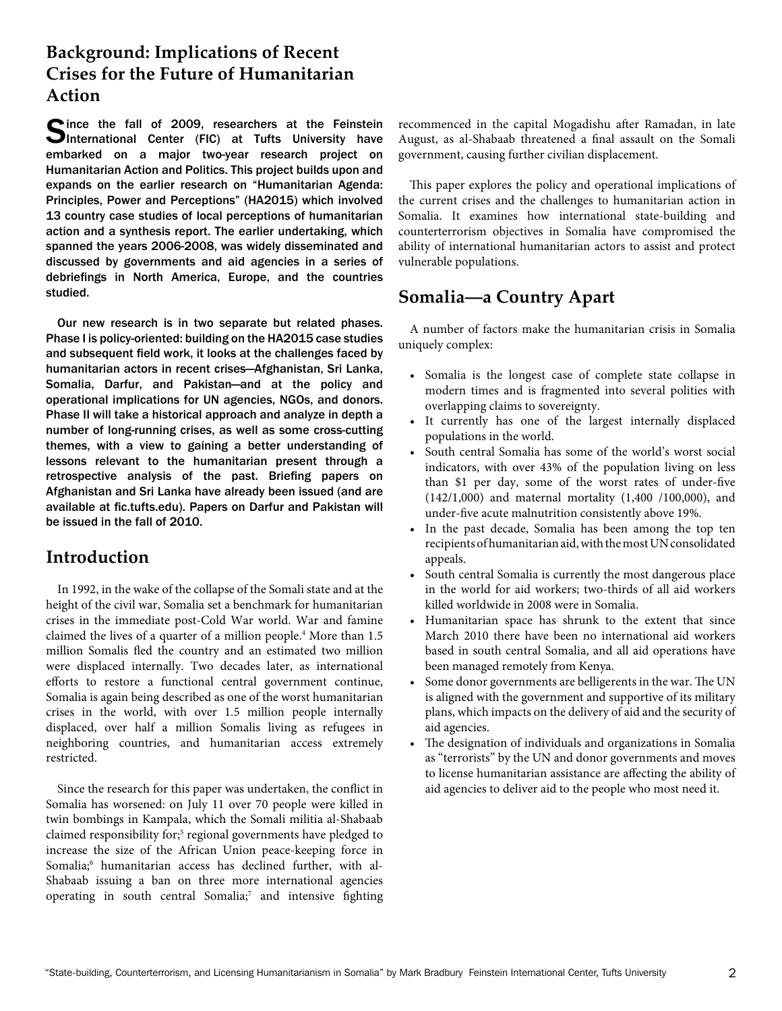# **Background: Implications of Recent Crises for the Future of Humanitarian Action**

Cince the fall of 2009, researchers at the Feinstein Unternational Center (FIC) at Tufts University have embarked on a major two-year research project on Humanitarian Action and Politics. This project builds upon and expands on the earlier research on "Humanitarian Agenda: Principles, Power and Perceptions" (HA2015) which involved 13 country case studies of local perceptions of humanitarian action and a synthesis report. The earlier undertaking, which spanned the years 2006-2008, was widely disseminated and discussed by governments and aid agencies in a series of debriefings in North America, Europe, and the countries studied.

Our new research is in two separate but related phases. Phase I is policy-oriented: building on the HA2015 case studies and subsequent field work, it looks at the challenges faced by humanitarian actors in recent crises—Afghanistan, Sri Lanka, Somalia, Darfur, and Pakistan—and at the policy and operational implications for UN agencies, NGOs, and donors. Phase II will take a historical approach and analyze in depth a number of long-running crises, as well as some cross-cutting themes, with a view to gaining a better understanding of lessons relevant to the humanitarian present through a retrospective analysis of the past. Briefing papers on Afghanistan and Sri Lanka have already been issued (and are available at fic.tufts.edu). Papers on Darfur and Pakistan will be issued in the fall of 2010.

### **Introduction**

In 1992, in the wake of the collapse of the Somali state and at the height of the civil war, Somalia set a benchmark for humanitarian crises in the immediate post-Cold War world. War and famine claimed the lives of a quarter of a million people.<sup>4</sup> More than 1.5 million Somalis fled the country and an estimated two million were displaced internally. Two decades later, as international efforts to restore a functional central government continue, Somalia is again being described as one of the worst humanitarian crises in the world, with over 1.5 million people internally displaced, over half a million Somalis living as refugees in neighboring countries, and humanitarian access extremely restricted.

Since the research for this paper was undertaken, the conflict in Somalia has worsened: on July 11 over 70 people were killed in twin bombings in Kampala, which the Somali militia al-Shabaab claimed responsibility for;<sup>5</sup> regional governments have pledged to increase the size of the African Union peace-keeping force in Somalia;6 humanitarian access has declined further, with al-Shabaab issuing a ban on three more international agencies operating in south central Somalia;<sup>7</sup> and intensive fighting recommenced in the capital Mogadishu after Ramadan, in late August, as al-Shabaab threatened a final assault on the Somali government, causing further civilian displacement.

This paper explores the policy and operational implications of the current crises and the challenges to humanitarian action in Somalia. It examines how international state-building and counterterrorism objectives in Somalia have compromised the ability of international humanitarian actors to assist and protect vulnerable populations.

### **Somalia—a Country Apart**

A number of factors make the humanitarian crisis in Somalia uniquely complex:

- • Somalia is the longest case of complete state collapse in modern times and is fragmented into several polities with overlapping claims to sovereignty.
- • It currently has one of the largest internally displaced populations in the world.
- • South central Somalia has some of the world's worst social indicators, with over 43% of the population living on less than \$1 per day, some of the worst rates of under-five (142/1,000) and maternal mortality (1,400 /100,000), and under-five acute malnutrition consistently above 19%.
- In the past decade, Somalia has been among the top ten recipients of humanitarian aid, with the most UN consolidated appeals.
- South central Somalia is currently the most dangerous place in the world for aid workers; two-thirds of all aid workers killed worldwide in 2008 were in Somalia.
- Humanitarian space has shrunk to the extent that since March 2010 there have been no international aid workers based in south central Somalia, and all aid operations have been managed remotely from Kenya.
- Some donor governments are belligerents in the war. The UN is aligned with the government and supportive of its military plans, which impacts on the delivery of aid and the security of aid agencies.
- The designation of individuals and organizations in Somalia as "terrorists" by the UN and donor governments and moves to license humanitarian assistance are affecting the ability of aid agencies to deliver aid to the people who most need it.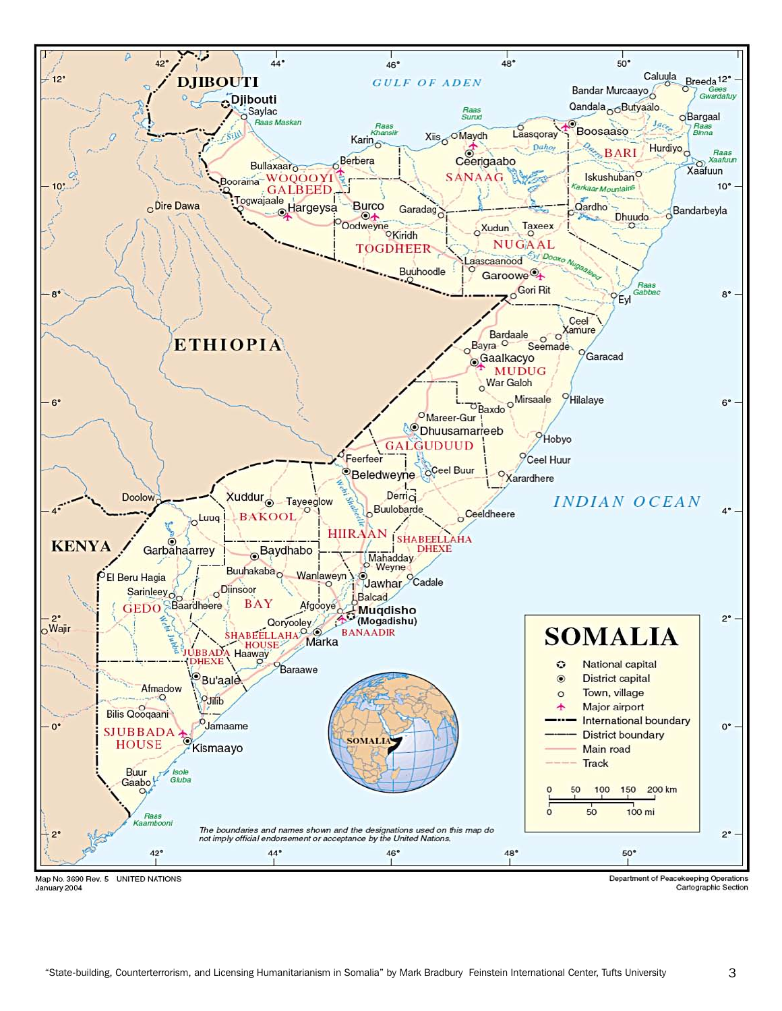

January 2004

Cartographic Section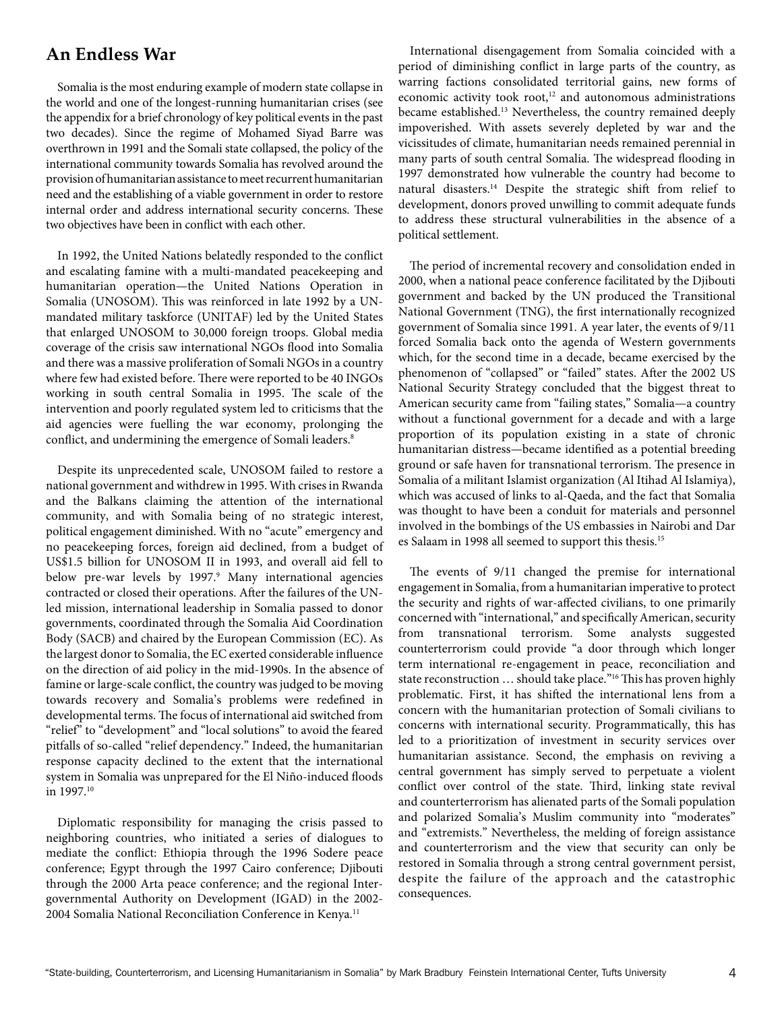### **An Endless War**

Somalia is the most enduring example of modern state collapse in the world and one of the longest-running humanitarian crises (see the appendix for a brief chronology of key political events in the past two decades). Since the regime of Mohamed Siyad Barre was overthrown in 1991 and the Somali state collapsed, the policy of the international community towards Somalia has revolved around the provision of humanitarian assistance to meet recurrent humanitarian need and the establishing of a viable government in order to restore internal order and address international security concerns. These two objectives have been in conflict with each other.

In 1992, the United Nations belatedly responded to the conflict and escalating famine with a multi-mandated peacekeeping and humanitarian operation—the United Nations Operation in Somalia (UNOSOM). This was reinforced in late 1992 by a UNmandated military taskforce (UNITAF) led by the United States that enlarged UNOSOM to 30,000 foreign troops. Global media coverage of the crisis saw international NGOs flood into Somalia and there was a massive proliferation of Somali NGOs in a country where few had existed before. There were reported to be 40 INGOs working in south central Somalia in 1995. The scale of the intervention and poorly regulated system led to criticisms that the aid agencies were fuelling the war economy, prolonging the conflict, and undermining the emergence of Somali leaders.<sup>8</sup>

Despite its unprecedented scale, UNOSOM failed to restore a national government and withdrew in 1995. With crises in Rwanda and the Balkans claiming the attention of the international community, and with Somalia being of no strategic interest, political engagement diminished. With no "acute" emergency and no peacekeeping forces, foreign aid declined, from a budget of US\$1.5 billion for UNOSOM II in 1993, and overall aid fell to below pre-war levels by 1997.<sup>9</sup> Many international agencies contracted or closed their operations. After the failures of the UNled mission, international leadership in Somalia passed to donor governments, coordinated through the Somalia Aid Coordination Body (SACB) and chaired by the European Commission (EC). As the largest donor to Somalia, the EC exerted considerable influence on the direction of aid policy in the mid-1990s. In the absence of famine or large-scale conflict, the country was judged to be moving towards recovery and Somalia's problems were redefined in developmental terms. The focus of international aid switched from "relief" to "development" and "local solutions" to avoid the feared pitfalls of so-called "relief dependency." Indeed, the humanitarian response capacity declined to the extent that the international system in Somalia was unprepared for the El Niño-induced floods in 1997.10

Diplomatic responsibility for managing the crisis passed to neighboring countries, who initiated a series of dialogues to mediate the conflict: Ethiopia through the 1996 Sodere peace conference; Egypt through the 1997 Cairo conference; Djibouti through the 2000 Arta peace conference; and the regional Intergovernmental Authority on Development (IGAD) in the 2002- 2004 Somalia National Reconciliation Conference in Kenya.<sup>11</sup>

International disengagement from Somalia coincided with a period of diminishing conflict in large parts of the country, as warring factions consolidated territorial gains, new forms of economic activity took root,<sup>12</sup> and autonomous administrations became established.13 Nevertheless, the country remained deeply impoverished. With assets severely depleted by war and the vicissitudes of climate, humanitarian needs remained perennial in many parts of south central Somalia. The widespread flooding in 1997 demonstrated how vulnerable the country had become to natural disasters.14 Despite the strategic shift from relief to development, donors proved unwilling to commit adequate funds to address these structural vulnerabilities in the absence of a political settlement.

The period of incremental recovery and consolidation ended in 2000, when a national peace conference facilitated by the Djibouti government and backed by the UN produced the Transitional National Government (TNG), the first internationally recognized government of Somalia since 1991. A year later, the events of 9/11 forced Somalia back onto the agenda of Western governments which, for the second time in a decade, became exercised by the phenomenon of "collapsed" or "failed" states. After the 2002 US National Security Strategy concluded that the biggest threat to American security came from "failing states," Somalia—a country without a functional government for a decade and with a large proportion of its population existing in a state of chronic humanitarian distress—became identified as a potential breeding ground or safe haven for transnational terrorism. The presence in Somalia of a militant Islamist organization (Al Itihad Al Islamiya), which was accused of links to al-Qaeda, and the fact that Somalia was thought to have been a conduit for materials and personnel involved in the bombings of the US embassies in Nairobi and Dar es Salaam in 1998 all seemed to support this thesis.15

The events of 9/11 changed the premise for international engagement in Somalia, from a humanitarian imperative to protect the security and rights of war-affected civilians, to one primarily concerned with "international," and specifically American, security from transnational terrorism. Some analysts suggested counterterrorism could provide "a door through which longer term international re-engagement in peace, reconciliation and state reconstruction ... should take place."<sup>16</sup> This has proven highly problematic. First, it has shifted the international lens from a concern with the humanitarian protection of Somali civilians to concerns with international security. Programmatically, this has led to a prioritization of investment in security services over humanitarian assistance. Second, the emphasis on reviving a central government has simply served to perpetuate a violent conflict over control of the state. Third, linking state revival and counterterrorism has alienated parts of the Somali population and polarized Somalia's Muslim community into "moderates" and "extremists." Nevertheless, the melding of foreign assistance and counterterrorism and the view that security can only be restored in Somalia through a strong central government persist, despite the failure of the approach and the catastrophic consequences.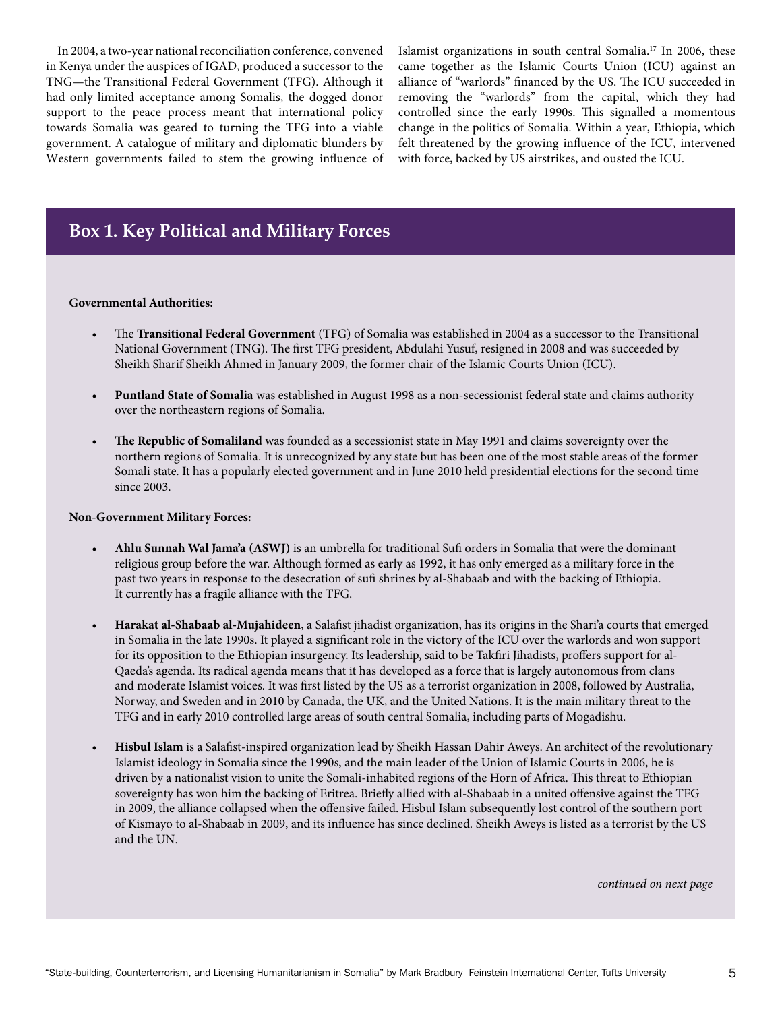In 2004, a two-year national reconciliation conference, convened in Kenya under the auspices of IGAD, produced a successor to the TNG—the Transitional Federal Government (TFG). Although it had only limited acceptance among Somalis, the dogged donor support to the peace process meant that international policy towards Somalia was geared to turning the TFG into a viable government. A catalogue of military and diplomatic blunders by Western governments failed to stem the growing influence of Islamist organizations in south central Somalia.17 In 2006, these came together as the Islamic Courts Union (ICU) against an alliance of "warlords" financed by the US. The ICU succeeded in removing the "warlords" from the capital, which they had controlled since the early 1990s. This signalled a momentous change in the politics of Somalia. Within a year, Ethiopia, which felt threatened by the growing influence of the ICU, intervened with force, backed by US airstrikes, and ousted the ICU.

### **Box 1. Key Political and Military Forces**

#### **Governmental Authorities:**

- The **Transitional Federal Government** (TFG) of Somalia was established in 2004 as a successor to the Transitional National Government (TNG). The first TFG president, Abdulahi Yusuf, resigned in 2008 and was succeeded by Sheikh Sharif Sheikh Ahmed in January 2009, the former chair of the Islamic Courts Union (ICU).
- Puntland State of Somalia was established in August 1998 as a non-secessionist federal state and claims authority over the northeastern regions of Somalia.
- The Republic of Somaliland was founded as a secessionist state in May 1991 and claims sovereignty over the northern regions of Somalia. It is unrecognized by any state but has been one of the most stable areas of the former Somali state. It has a popularly elected government and in June 2010 held presidential elections for the second time since 2003.

#### **Non-Government Military Forces:**

- Ahlu Sunnah Wal Jama'a (ASWJ) is an umbrella for traditional Sufi orders in Somalia that were the dominant religious group before the war. Although formed as early as 1992, it has only emerged as a military force in the past two years in response to the desecration of sufi shrines by al-Shabaab and with the backing of Ethiopia. It currently has a fragile alliance with the TFG.
- Harakat al-Shabaab al-Mujahideen, a Salafist jihadist organization, has its origins in the Shari'a courts that emerged in Somalia in the late 1990s. It played a significant role in the victory of the ICU over the warlords and won support for its opposition to the Ethiopian insurgency. Its leadership, said to be Takfiri Jihadists, proffers support for al-Qaeda's agenda. Its radical agenda means that it has developed as a force that is largely autonomous from clans and moderate Islamist voices. It was first listed by the US as a terrorist organization in 2008, followed by Australia, Norway, and Sweden and in 2010 by Canada, the UK, and the United Nations. It is the main military threat to the TFG and in early 2010 controlled large areas of south central Somalia, including parts of Mogadishu.
- **Hisbul Islam** is a Salafist-inspired organization lead by Sheikh Hassan Dahir Aweys. An architect of the revolutionary Islamist ideology in Somalia since the 1990s, and the main leader of the Union of Islamic Courts in 2006, he is driven by a nationalist vision to unite the Somali-inhabited regions of the Horn of Africa. This threat to Ethiopian sovereignty has won him the backing of Eritrea. Briefly allied with al-Shabaab in a united offensive against the TFG in 2009, the alliance collapsed when the offensive failed. Hisbul Islam subsequently lost control of the southern port of Kismayo to al-Shabaab in 2009, and its influence has since declined. Sheikh Aweys is listed as a terrorist by the US and the UN.

*continued on next page*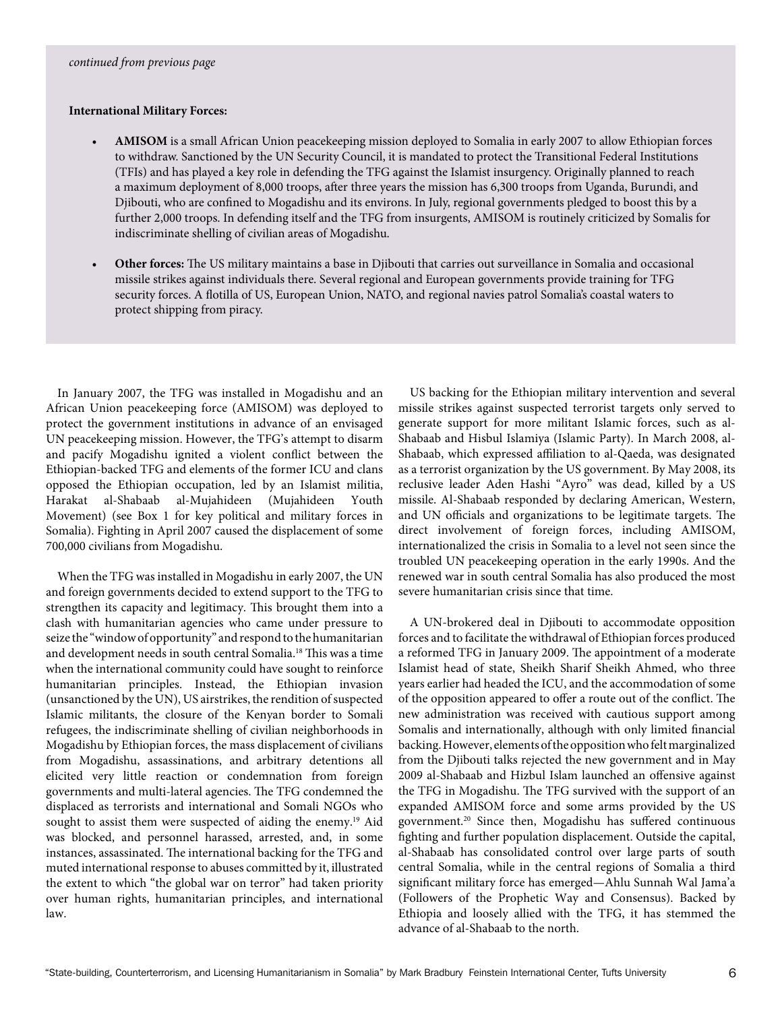#### **International Military Forces:**

- AMISOM is a small African Union peacekeeping mission deployed to Somalia in early 2007 to allow Ethiopian forces to withdraw. Sanctioned by the UN Security Council, it is mandated to protect the Transitional Federal Institutions (TFIs) and has played a key role in defending the TFG against the Islamist insurgency. Originally planned to reach a maximum deployment of 8,000 troops, after three years the mission has 6,300 troops from Uganda, Burundi, and Djibouti, who are confined to Mogadishu and its environs. In July, regional governments pledged to boost this by a further 2,000 troops. In defending itself and the TFG from insurgents, AMISOM is routinely criticized by Somalis for indiscriminate shelling of civilian areas of Mogadishu.
- **Other forces:** The US military maintains a base in Djibouti that carries out surveillance in Somalia and occasional missile strikes against individuals there. Several regional and European governments provide training for TFG security forces. A flotilla of US, European Union, NATO, and regional navies patrol Somalia's coastal waters to protect shipping from piracy.

In January 2007, the TFG was installed in Mogadishu and an African Union peacekeeping force (AMISOM) was deployed to protect the government institutions in advance of an envisaged UN peacekeeping mission. However, the TFG's attempt to disarm and pacify Mogadishu ignited a violent conflict between the Ethiopian-backed TFG and elements of the former ICU and clans opposed the Ethiopian occupation, led by an Islamist militia, Harakat al-Shabaab al-Mujahideen (Mujahideen Youth Movement) (see Box 1 for key political and military forces in Somalia). Fighting in April 2007 caused the displacement of some 700,000 civilians from Mogadishu.

When the TFG was installed in Mogadishu in early 2007, the UN and foreign governments decided to extend support to the TFG to strengthen its capacity and legitimacy. This brought them into a clash with humanitarian agencies who came under pressure to seize the "window of opportunity" and respond to the humanitarian and development needs in south central Somalia.18 This was a time when the international community could have sought to reinforce humanitarian principles. Instead, the Ethiopian invasion (unsanctioned by the UN), US airstrikes, the rendition of suspected Islamic militants, the closure of the Kenyan border to Somali refugees, the indiscriminate shelling of civilian neighborhoods in Mogadishu by Ethiopian forces, the mass displacement of civilians from Mogadishu, assassinations, and arbitrary detentions all elicited very little reaction or condemnation from foreign governments and multi-lateral agencies. The TFG condemned the displaced as terrorists and international and Somali NGOs who sought to assist them were suspected of aiding the enemy.<sup>19</sup> Aid was blocked, and personnel harassed, arrested, and, in some instances, assassinated. The international backing for the TFG and muted international response to abuses committed by it, illustrated the extent to which "the global war on terror" had taken priority over human rights, humanitarian principles, and international law.

US backing for the Ethiopian military intervention and several missile strikes against suspected terrorist targets only served to generate support for more militant Islamic forces, such as al-Shabaab and Hisbul Islamiya (Islamic Party). In March 2008, al-Shabaab, which expressed affiliation to al-Qaeda, was designated as a terrorist organization by the US government. By May 2008, its reclusive leader Aden Hashi "Ayro" was dead, killed by a US missile. Al-Shabaab responded by declaring American, Western, and UN officials and organizations to be legitimate targets. The direct involvement of foreign forces, including AMISOM, internationalized the crisis in Somalia to a level not seen since the troubled UN peacekeeping operation in the early 1990s. And the renewed war in south central Somalia has also produced the most severe humanitarian crisis since that time.

A UN-brokered deal in Djibouti to accommodate opposition forces and to facilitate the withdrawal of Ethiopian forces produced a reformed TFG in January 2009. The appointment of a moderate Islamist head of state, Sheikh Sharif Sheikh Ahmed, who three years earlier had headed the ICU, and the accommodation of some of the opposition appeared to offer a route out of the conflict. The new administration was received with cautious support among Somalis and internationally, although with only limited financial backing.However, elementsoftheoppositionwhofeltmarginalized from the Djibouti talks rejected the new government and in May 2009 al-Shabaab and Hizbul Islam launched an offensive against the TFG in Mogadishu. The TFG survived with the support of an expanded AMISOM force and some arms provided by the US government.20 Since then, Mogadishu has suffered continuous fighting and further population displacement. Outside the capital, al-Shabaab has consolidated control over large parts of south central Somalia, while in the central regions of Somalia a third significant military force has emerged—Ahlu Sunnah Wal Jama'a (Followers of the Prophetic Way and Consensus). Backed by Ethiopia and loosely allied with the TFG, it has stemmed the advance of al-Shabaab to the north.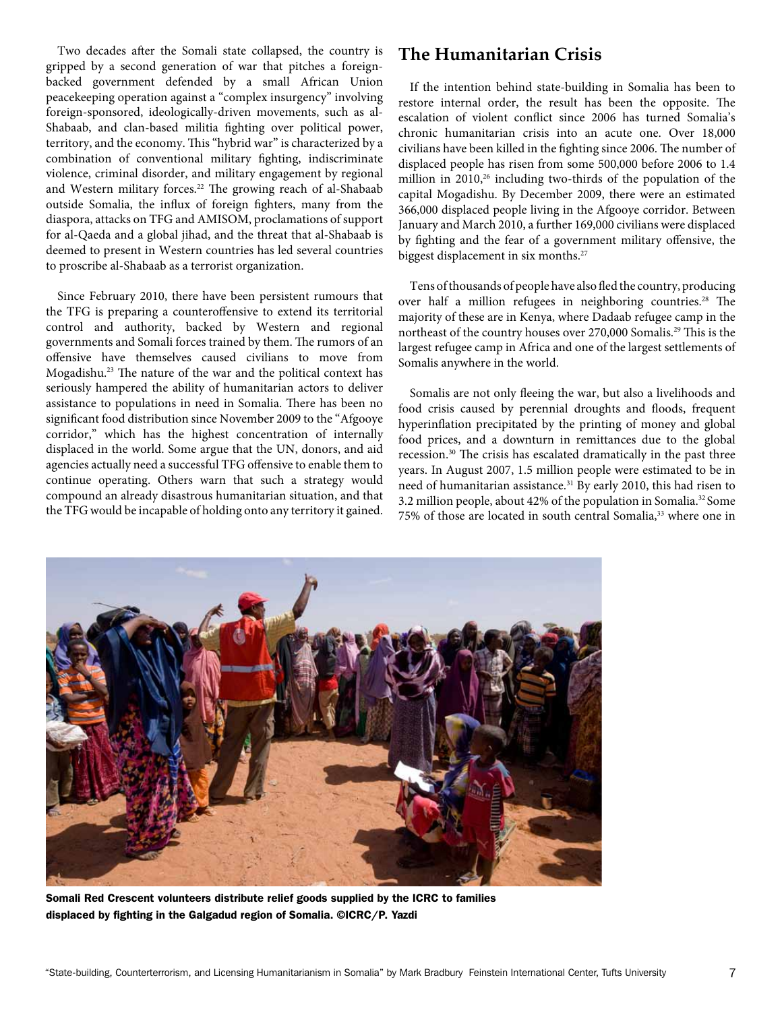Two decades after the Somali state collapsed, the country is gripped by a second generation of war that pitches a foreignbacked government defended by a small African Union peacekeeping operation against a "complex insurgency" involving foreign-sponsored, ideologically-driven movements, such as al-Shabaab, and clan-based militia fighting over political power, territory, and the economy. This "hybrid war" is characterized by a combination of conventional military fighting, indiscriminate violence, criminal disorder, and military engagement by regional and Western military forces.<sup>22</sup> The growing reach of al-Shabaab outside Somalia, the influx of foreign fighters, many from the diaspora, attacks on TFG and AMISOM, proclamations of support for al-Qaeda and a global jihad, and the threat that al-Shabaab is deemed to present in Western countries has led several countries to proscribe al-Shabaab as a terrorist organization.

Since February 2010, there have been persistent rumours that the TFG is preparing a counteroffensive to extend its territorial control and authority, backed by Western and regional governments and Somali forces trained by them. The rumors of an offensive have themselves caused civilians to move from Mogadishu.23 The nature of the war and the political context has seriously hampered the ability of humanitarian actors to deliver assistance to populations in need in Somalia. There has been no significant food distribution since November 2009 to the "Afgooye corridor," which has the highest concentration of internally displaced in the world. Some argue that the UN, donors, and aid agencies actually need a successful TFG offensive to enable them to continue operating. Others warn that such a strategy would compound an already disastrous humanitarian situation, and that the TFG would be incapable of holding onto any territory it gained.

### **The Humanitarian Crisis**

If the intention behind state-building in Somalia has been to restore internal order, the result has been the opposite. The escalation of violent conflict since 2006 has turned Somalia's chronic humanitarian crisis into an acute one. Over 18,000 civilians have been killed in the fighting since 2006. The number of displaced people has risen from some 500,000 before 2006 to 1.4 million in 2010,<sup>26</sup> including two-thirds of the population of the capital Mogadishu. By December 2009, there were an estimated 366,000 displaced people living in the Afgooye corridor. Between January and March 2010, a further 169,000 civilians were displaced by fighting and the fear of a government military offensive, the biggest displacement in six months.27

Tens of thousands of people have also fled the country, producing over half a million refugees in neighboring countries.<sup>28</sup> The majority of these are in Kenya, where Dadaab refugee camp in the northeast of the country houses over 270,000 Somalis.29 This is the largest refugee camp in Africa and one of the largest settlements of Somalis anywhere in the world.

Somalis are not only fleeing the war, but also a livelihoods and food crisis caused by perennial droughts and floods, frequent hyperinflation precipitated by the printing of money and global food prices, and a downturn in remittances due to the global recession.30 The crisis has escalated dramatically in the past three years. In August 2007, 1.5 million people were estimated to be in need of humanitarian assistance.<sup>31</sup> By early 2010, this had risen to 3.2 million people, about 42% of the population in Somalia.32 Some 75% of those are located in south central Somalia,<sup>33</sup> where one in



Somali Red Crescent volunteers distribute relief goods supplied by the ICRC to families displaced by fighting in the Galgadud region of Somalia. ©ICRC/P. Yazdi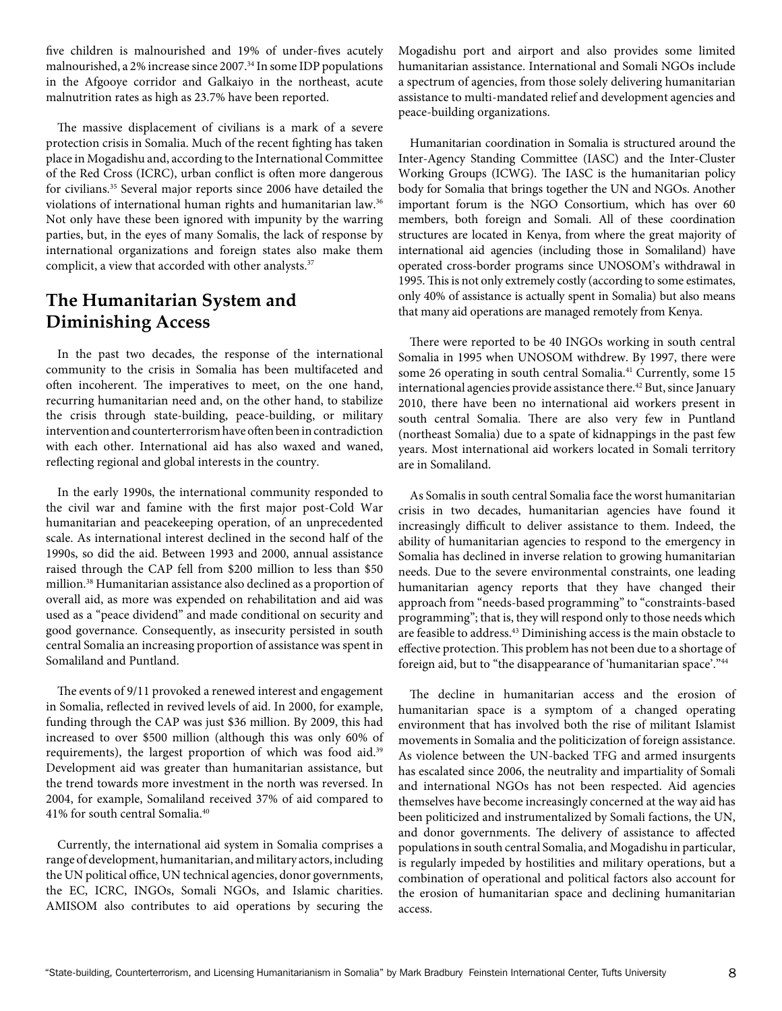five children is malnourished and 19% of under-fives acutely malnourished, a 2% increase since 2007.34 In some IDP populations in the Afgooye corridor and Galkaiyo in the northeast, acute malnutrition rates as high as 23.7% have been reported.

The massive displacement of civilians is a mark of a severe protection crisis in Somalia. Much of the recent fighting has taken place in Mogadishu and, according to the International Committee of the Red Cross (ICRC), urban conflict is often more dangerous for civilians.35 Several major reports since 2006 have detailed the violations of international human rights and humanitarian law.<sup>36</sup> Not only have these been ignored with impunity by the warring parties, but, in the eyes of many Somalis, the lack of response by international organizations and foreign states also make them complicit, a view that accorded with other analysts.<sup>37</sup>

# **The Humanitarian System and Diminishing Access**

In the past two decades, the response of the international community to the crisis in Somalia has been multifaceted and often incoherent. The imperatives to meet, on the one hand, recurring humanitarian need and, on the other hand, to stabilize the crisis through state-building, peace-building, or military intervention and counterterrorism have often been in contradiction with each other. International aid has also waxed and waned, reflecting regional and global interests in the country.

In the early 1990s, the international community responded to the civil war and famine with the first major post-Cold War humanitarian and peacekeeping operation, of an unprecedented scale. As international interest declined in the second half of the 1990s, so did the aid. Between 1993 and 2000, annual assistance raised through the CAP fell from \$200 million to less than \$50 million.38 Humanitarian assistance also declined as a proportion of overall aid, as more was expended on rehabilitation and aid was used as a "peace dividend" and made conditional on security and good governance. Consequently, as insecurity persisted in south central Somalia an increasing proportion of assistance was spent in Somaliland and Puntland.

The events of 9/11 provoked a renewed interest and engagement in Somalia, reflected in revived levels of aid. In 2000, for example, funding through the CAP was just \$36 million. By 2009, this had increased to over \$500 million (although this was only 60% of requirements), the largest proportion of which was food aid.39 Development aid was greater than humanitarian assistance, but the trend towards more investment in the north was reversed. In 2004, for example, Somaliland received 37% of aid compared to 41% for south central Somalia.40

Currently, the international aid system in Somalia comprises a range of development, humanitarian, and military actors, including the UN political office, UN technical agencies, donor governments, the EC, ICRC, INGOs, Somali NGOs, and Islamic charities. AMISOM also contributes to aid operations by securing the Mogadishu port and airport and also provides some limited humanitarian assistance. International and Somali NGOs include a spectrum of agencies, from those solely delivering humanitarian assistance to multi-mandated relief and development agencies and peace-building organizations.

Humanitarian coordination in Somalia is structured around the Inter-Agency Standing Committee (IASC) and the Inter-Cluster Working Groups (ICWG). The IASC is the humanitarian policy body for Somalia that brings together the UN and NGOs. Another important forum is the NGO Consortium, which has over 60 members, both foreign and Somali. All of these coordination structures are located in Kenya, from where the great majority of international aid agencies (including those in Somaliland) have operated cross-border programs since UNOSOM's withdrawal in 1995. This is not only extremely costly (according to some estimates, only 40% of assistance is actually spent in Somalia) but also means that many aid operations are managed remotely from Kenya.

There were reported to be 40 INGOs working in south central Somalia in 1995 when UNOSOM withdrew. By 1997, there were some 26 operating in south central Somalia.<sup>41</sup> Currently, some 15 international agencies provide assistance there.<sup>42</sup> But, since January 2010, there have been no international aid workers present in south central Somalia. There are also very few in Puntland (northeast Somalia) due to a spate of kidnappings in the past few years. Most international aid workers located in Somali territory are in Somaliland.

As Somalis in south central Somalia face the worst humanitarian crisis in two decades, humanitarian agencies have found it increasingly difficult to deliver assistance to them. Indeed, the ability of humanitarian agencies to respond to the emergency in Somalia has declined in inverse relation to growing humanitarian needs. Due to the severe environmental constraints, one leading humanitarian agency reports that they have changed their approach from "needs-based programming" to "constraints-based programming"; that is, they will respond only to those needs which are feasible to address.<sup>43</sup> Diminishing access is the main obstacle to effective protection. This problem has not been due to a shortage of foreign aid, but to "the disappearance of 'humanitarian space'."<sup>44</sup>

The decline in humanitarian access and the erosion of humanitarian space is a symptom of a changed operating environment that has involved both the rise of militant Islamist movements in Somalia and the politicization of foreign assistance. As violence between the UN-backed TFG and armed insurgents has escalated since 2006, the neutrality and impartiality of Somali and international NGOs has not been respected. Aid agencies themselves have become increasingly concerned at the way aid has been politicized and instrumentalized by Somali factions, the UN, and donor governments. The delivery of assistance to affected populations in south central Somalia, and Mogadishu in particular, is regularly impeded by hostilities and military operations, but a combination of operational and political factors also account for the erosion of humanitarian space and declining humanitarian access.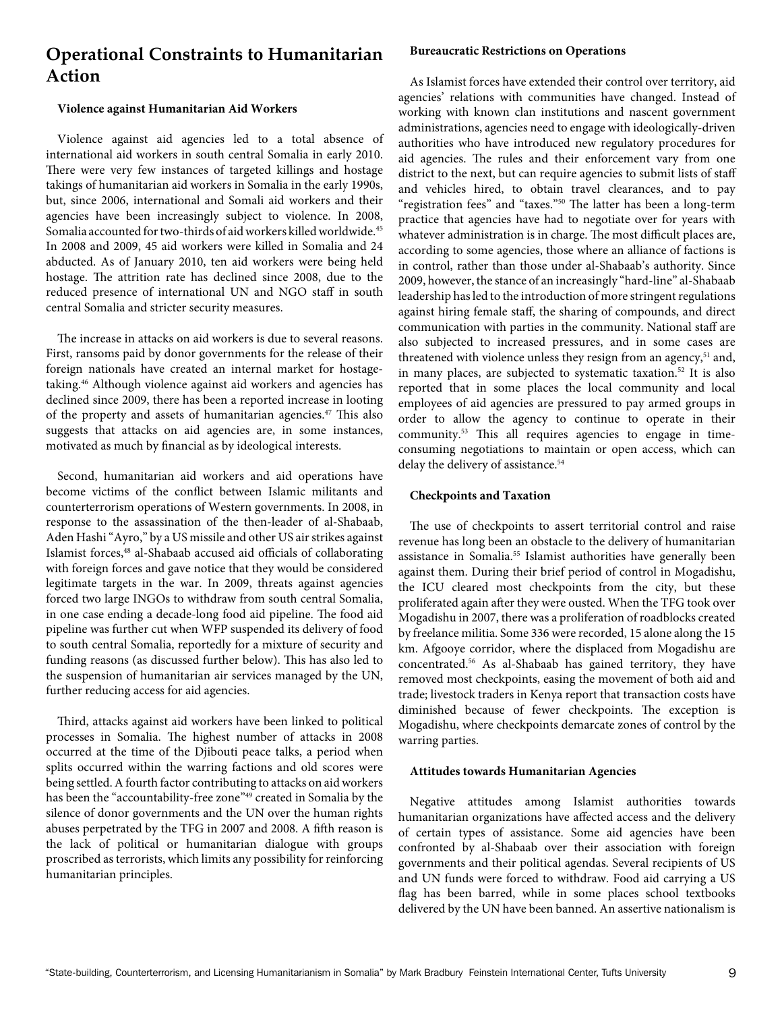# **Operational Constraints to Humanitarian Action**

### **Violence against Humanitarian Aid Workers**

Violence against aid agencies led to a total absence of international aid workers in south central Somalia in early 2010. There were very few instances of targeted killings and hostage takings of humanitarian aid workers in Somalia in the early 1990s, but, since 2006, international and Somali aid workers and their agencies have been increasingly subject to violence. In 2008, Somalia accounted for two-thirds of aid workers killed worldwide.<sup>45</sup> In 2008 and 2009, 45 aid workers were killed in Somalia and 24 abducted. As of January 2010, ten aid workers were being held hostage. The attrition rate has declined since 2008, due to the reduced presence of international UN and NGO staff in south central Somalia and stricter security measures.

The increase in attacks on aid workers is due to several reasons. First, ransoms paid by donor governments for the release of their foreign nationals have created an internal market for hostagetaking.46 Although violence against aid workers and agencies has declined since 2009, there has been a reported increase in looting of the property and assets of humanitarian agencies.47 This also suggests that attacks on aid agencies are, in some instances, motivated as much by financial as by ideological interests.

Second, humanitarian aid workers and aid operations have become victims of the conflict between Islamic militants and counterterrorism operations of Western governments. In 2008, in response to the assassination of the then-leader of al-Shabaab, Aden Hashi "Ayro," by a US missile and other US air strikes against Islamist forces,48 al-Shabaab accused aid officials of collaborating with foreign forces and gave notice that they would be considered legitimate targets in the war. In 2009, threats against agencies forced two large INGOs to withdraw from south central Somalia, in one case ending a decade-long food aid pipeline. The food aid pipeline was further cut when WFP suspended its delivery of food to south central Somalia, reportedly for a mixture of security and funding reasons (as discussed further below). This has also led to the suspension of humanitarian air services managed by the UN, further reducing access for aid agencies.

Third, attacks against aid workers have been linked to political processes in Somalia. The highest number of attacks in 2008 occurred at the time of the Djibouti peace talks, a period when splits occurred within the warring factions and old scores were being settled. A fourth factor contributing to attacks on aid workers has been the "accountability-free zone"<sup>49</sup> created in Somalia by the silence of donor governments and the UN over the human rights abuses perpetrated by the TFG in 2007 and 2008. A fifth reason is the lack of political or humanitarian dialogue with groups proscribed as terrorists, which limits any possibility for reinforcing humanitarian principles.

### **Bureaucratic Restrictions on Operations**

As Islamist forces have extended their control over territory, aid agencies' relations with communities have changed. Instead of working with known clan institutions and nascent government administrations, agencies need to engage with ideologically-driven authorities who have introduced new regulatory procedures for aid agencies. The rules and their enforcement vary from one district to the next, but can require agencies to submit lists of staff and vehicles hired, to obtain travel clearances, and to pay "registration fees" and "taxes."50 The latter has been a long-term practice that agencies have had to negotiate over for years with whatever administration is in charge. The most difficult places are, according to some agencies, those where an alliance of factions is in control, rather than those under al-Shabaab's authority. Since 2009, however, the stance of an increasingly "hard-line" al-Shabaab leadership has led to the introduction of more stringent regulations against hiring female staff, the sharing of compounds, and direct communication with parties in the community. National staff are also subjected to increased pressures, and in some cases are threatened with violence unless they resign from an agency,<sup>51</sup> and, in many places, are subjected to systematic taxation.<sup>52</sup> It is also reported that in some places the local community and local employees of aid agencies are pressured to pay armed groups in order to allow the agency to continue to operate in their community.53 This all requires agencies to engage in timeconsuming negotiations to maintain or open access, which can delay the delivery of assistance.<sup>54</sup>

### **Checkpoints and Taxation**

The use of checkpoints to assert territorial control and raise revenue has long been an obstacle to the delivery of humanitarian assistance in Somalia.55 Islamist authorities have generally been against them. During their brief period of control in Mogadishu, the ICU cleared most checkpoints from the city, but these proliferated again after they were ousted. When the TFG took over Mogadishu in 2007, there was a proliferation of roadblocks created by freelance militia. Some 336 were recorded, 15 alone along the 15 km. Afgooye corridor, where the displaced from Mogadishu are concentrated.56 As al-Shabaab has gained territory, they have removed most checkpoints, easing the movement of both aid and trade; livestock traders in Kenya report that transaction costs have diminished because of fewer checkpoints. The exception is Mogadishu, where checkpoints demarcate zones of control by the warring parties.

#### **Attitudes towards Humanitarian Agencies**

Negative attitudes among Islamist authorities towards humanitarian organizations have affected access and the delivery of certain types of assistance. Some aid agencies have been confronted by al-Shabaab over their association with foreign governments and their political agendas. Several recipients of US and UN funds were forced to withdraw. Food aid carrying a US flag has been barred, while in some places school textbooks delivered by the UN have been banned. An assertive nationalism is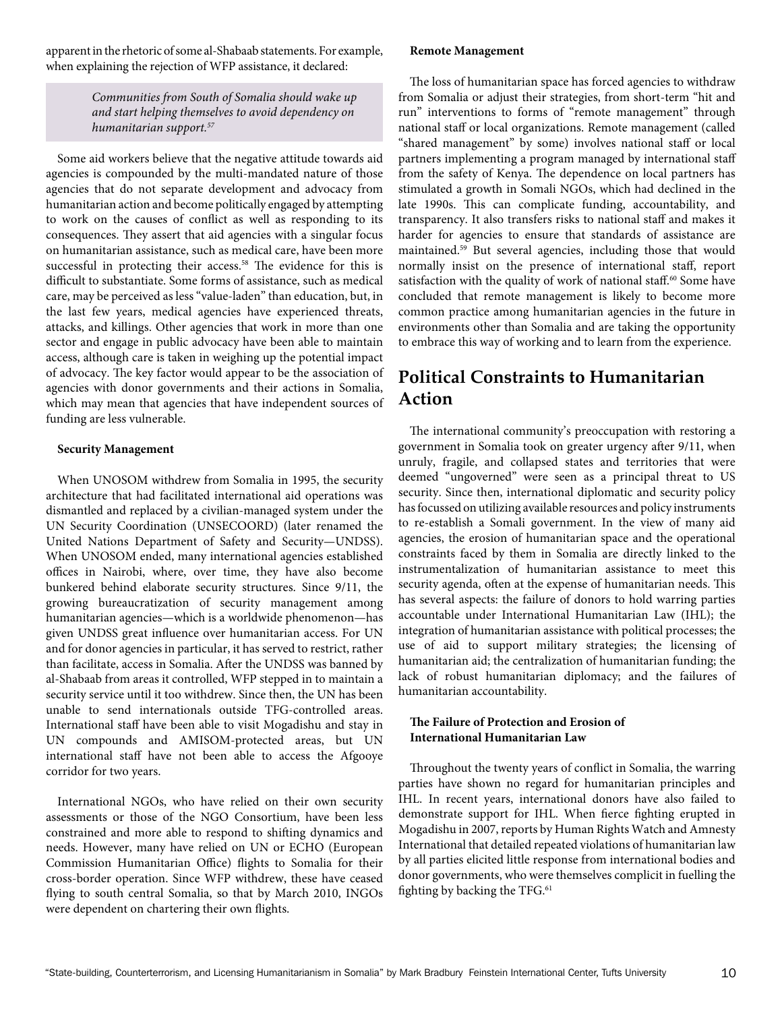apparent in the rhetoric of some al-Shabaab statements. For example, when explaining the rejection of WFP assistance, it declared:

> *Communities from South of Somalia should wake up and start helping themselves to avoid dependency on humanitarian support.57*

Some aid workers believe that the negative attitude towards aid agencies is compounded by the multi-mandated nature of those agencies that do not separate development and advocacy from humanitarian action and become politically engaged by attempting to work on the causes of conflict as well as responding to its consequences. They assert that aid agencies with a singular focus on humanitarian assistance, such as medical care, have been more successful in protecting their access.<sup>58</sup> The evidence for this is difficult to substantiate. Some forms of assistance, such as medical care, may be perceived as less "value-laden" than education, but, in the last few years, medical agencies have experienced threats, attacks, and killings. Other agencies that work in more than one sector and engage in public advocacy have been able to maintain access, although care is taken in weighing up the potential impact of advocacy. The key factor would appear to be the association of agencies with donor governments and their actions in Somalia, which may mean that agencies that have independent sources of funding are less vulnerable.

### **Security Management**

When UNOSOM withdrew from Somalia in 1995, the security architecture that had facilitated international aid operations was dismantled and replaced by a civilian-managed system under the UN Security Coordination (UNSECOORD) (later renamed the United Nations Department of Safety and Security—UNDSS). When UNOSOM ended, many international agencies established offices in Nairobi, where, over time, they have also become bunkered behind elaborate security structures. Since 9/11, the growing bureaucratization of security management among humanitarian agencies—which is a worldwide phenomenon—has given UNDSS great influence over humanitarian access. For UN and for donor agencies in particular, it has served to restrict, rather than facilitate, access in Somalia. After the UNDSS was banned by al-Shabaab from areas it controlled, WFP stepped in to maintain a security service until it too withdrew. Since then, the UN has been unable to send internationals outside TFG-controlled areas. International staff have been able to visit Mogadishu and stay in UN compounds and AMISOM-protected areas, but UN international staff have not been able to access the Afgooye corridor for two years.

International NGOs, who have relied on their own security assessments or those of the NGO Consortium, have been less constrained and more able to respond to shifting dynamics and needs. However, many have relied on UN or ECHO (European Commission Humanitarian Office) flights to Somalia for their cross-border operation. Since WFP withdrew, these have ceased flying to south central Somalia, so that by March 2010, INGOs were dependent on chartering their own flights.

#### **Remote Management**

The loss of humanitarian space has forced agencies to withdraw from Somalia or adjust their strategies, from short-term "hit and run" interventions to forms of "remote management" through national staff or local organizations. Remote management (called "shared management" by some) involves national staff or local partners implementing a program managed by international staff from the safety of Kenya. The dependence on local partners has stimulated a growth in Somali NGOs, which had declined in the late 1990s. This can complicate funding, accountability, and transparency. It also transfers risks to national staff and makes it harder for agencies to ensure that standards of assistance are maintained.59 But several agencies, including those that would normally insist on the presence of international staff, report satisfaction with the quality of work of national staff.<sup>60</sup> Some have concluded that remote management is likely to become more common practice among humanitarian agencies in the future in environments other than Somalia and are taking the opportunity to embrace this way of working and to learn from the experience.

# **Political Constraints to Humanitarian Action**

The international community's preoccupation with restoring a government in Somalia took on greater urgency after 9/11, when unruly, fragile, and collapsed states and territories that were deemed "ungoverned" were seen as a principal threat to US security. Since then, international diplomatic and security policy has focussed on utilizing available resources and policy instruments to re-establish a Somali government. In the view of many aid agencies, the erosion of humanitarian space and the operational constraints faced by them in Somalia are directly linked to the instrumentalization of humanitarian assistance to meet this security agenda, often at the expense of humanitarian needs. This has several aspects: the failure of donors to hold warring parties accountable under International Humanitarian Law (IHL); the integration of humanitarian assistance with political processes; the use of aid to support military strategies; the licensing of humanitarian aid; the centralization of humanitarian funding; the lack of robust humanitarian diplomacy; and the failures of humanitarian accountability.

### **The Failure of Protection and Erosion of International Humanitarian Law**

Throughout the twenty years of conflict in Somalia, the warring parties have shown no regard for humanitarian principles and IHL. In recent years, international donors have also failed to demonstrate support for IHL. When fierce fighting erupted in Mogadishu in 2007, reports by Human Rights Watch and Amnesty International that detailed repeated violations of humanitarian law by all parties elicited little response from international bodies and donor governments, who were themselves complicit in fuelling the fighting by backing the TFG.<sup>61</sup>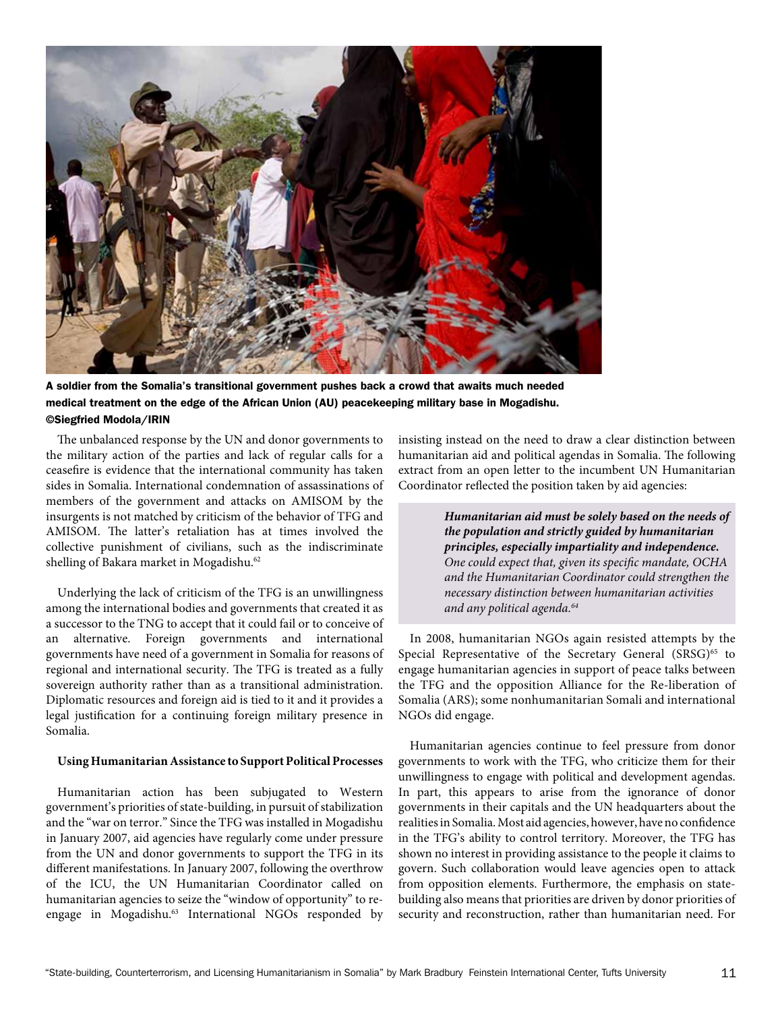

A soldier from the Somalia's transitional government pushes back a crowd that awaits much needed medical treatment on the edge of the African Union (AU) peacekeeping military base in Mogadishu. ©Siegfried Modola/IRIN

The unbalanced response by the UN and donor governments to the military action of the parties and lack of regular calls for a ceasefire is evidence that the international community has taken sides in Somalia. International condemnation of assassinations of members of the government and attacks on AMISOM by the insurgents is not matched by criticism of the behavior of TFG and AMISOM. The latter's retaliation has at times involved the collective punishment of civilians, such as the indiscriminate shelling of Bakara market in Mogadishu.<sup>62</sup>

Underlying the lack of criticism of the TFG is an unwillingness among the international bodies and governments that created it as a successor to the TNG to accept that it could fail or to conceive of an alternative. Foreign governments and international governments have need of a government in Somalia for reasons of regional and international security. The TFG is treated as a fully sovereign authority rather than as a transitional administration. Diplomatic resources and foreign aid is tied to it and it provides a legal justification for a continuing foreign military presence in Somalia.

#### **Using Humanitarian Assistance to Support Political Processes**

Humanitarian action has been subjugated to Western government's priorities of state-building, in pursuit of stabilization and the "war on terror." Since the TFG was installed in Mogadishu in January 2007, aid agencies have regularly come under pressure from the UN and donor governments to support the TFG in its different manifestations. In January 2007, following the overthrow of the ICU, the UN Humanitarian Coordinator called on humanitarian agencies to seize the "window of opportunity" to reengage in Mogadishu.<sup>63</sup> International NGOs responded by

insisting instead on the need to draw a clear distinction between humanitarian aid and political agendas in Somalia. The following extract from an open letter to the incumbent UN Humanitarian Coordinator reflected the position taken by aid agencies:

> *Humanitarian aid must be solely based on the needs of the population and strictly guided by humanitarian principles, especially impartiality and independence. One could expect that, given its specific mandate, OCHA and the Humanitarian Coordinator could strengthen the necessary distinction between humanitarian activities and any political agenda.64*

In 2008, humanitarian NGOs again resisted attempts by the Special Representative of the Secretary General (SRSG)<sup>65</sup> to engage humanitarian agencies in support of peace talks between the TFG and the opposition Alliance for the Re-liberation of Somalia (ARS); some nonhumanitarian Somali and international NGOs did engage.

Humanitarian agencies continue to feel pressure from donor governments to work with the TFG, who criticize them for their unwillingness to engage with political and development agendas. In part, this appears to arise from the ignorance of donor governments in their capitals and the UN headquarters about the realities in Somalia. Most aid agencies, however, have no confidence in the TFG's ability to control territory. Moreover, the TFG has shown no interest in providing assistance to the people it claims to govern. Such collaboration would leave agencies open to attack from opposition elements. Furthermore, the emphasis on statebuilding also means that priorities are driven by donor priorities of security and reconstruction, rather than humanitarian need. For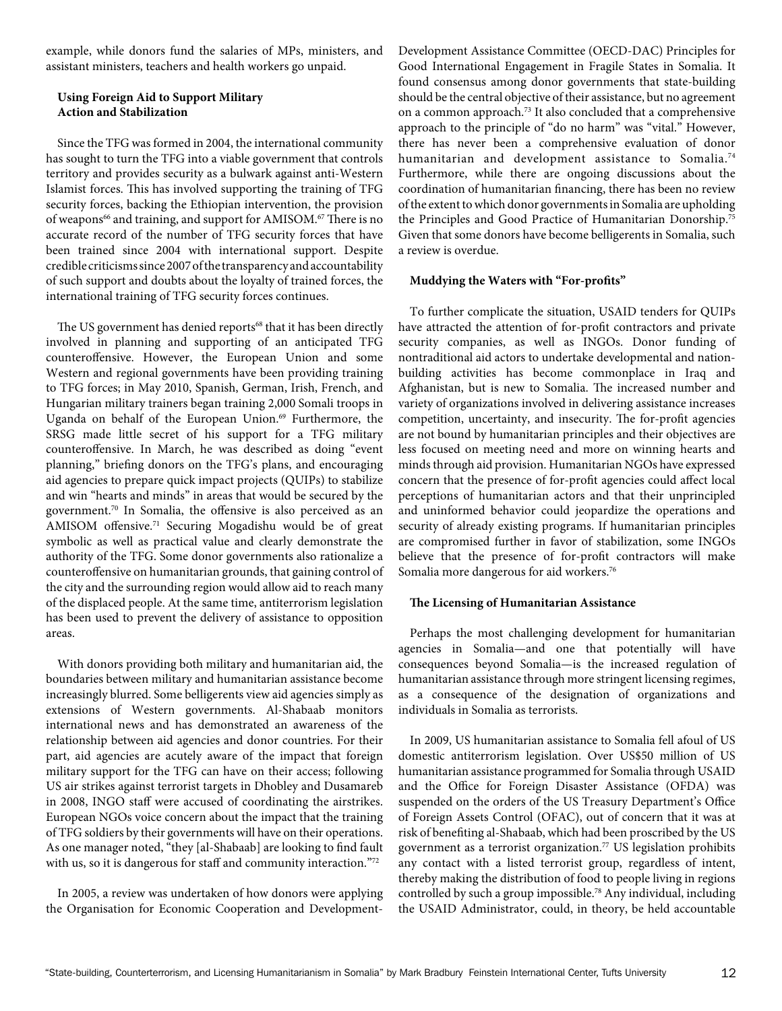example, while donors fund the salaries of MPs, ministers, and assistant ministers, teachers and health workers go unpaid.

### **Using Foreign Aid to Support Military Action and Stabilization**

Since the TFG was formed in 2004, the international community has sought to turn the TFG into a viable government that controls territory and provides security as a bulwark against anti-Western Islamist forces. This has involved supporting the training of TFG security forces, backing the Ethiopian intervention, the provision of weapons<sup>66</sup> and training, and support for AMISOM.<sup>67</sup> There is no accurate record of the number of TFG security forces that have been trained since 2004 with international support. Despite credible criticisms since 2007 of the transparency and accountability of such support and doubts about the loyalty of trained forces, the international training of TFG security forces continues.

The US government has denied reports<sup>68</sup> that it has been directly involved in planning and supporting of an anticipated TFG counteroffensive. However, the European Union and some Western and regional governments have been providing training to TFG forces; in May 2010, Spanish, German, Irish, French, and Hungarian military trainers began training 2,000 Somali troops in Uganda on behalf of the European Union.<sup>69</sup> Furthermore, the SRSG made little secret of his support for a TFG military counteroffensive. In March, he was described as doing "event planning," briefing donors on the TFG's plans, and encouraging aid agencies to prepare quick impact projects (QUIPs) to stabilize and win "hearts and minds" in areas that would be secured by the government.70 In Somalia, the offensive is also perceived as an AMISOM offensive.71 Securing Mogadishu would be of great symbolic as well as practical value and clearly demonstrate the authority of the TFG. Some donor governments also rationalize a counteroffensive on humanitarian grounds, that gaining control of the city and the surrounding region would allow aid to reach many of the displaced people. At the same time, antiterrorism legislation has been used to prevent the delivery of assistance to opposition areas.

With donors providing both military and humanitarian aid, the boundaries between military and humanitarian assistance become increasingly blurred. Some belligerents view aid agencies simply as extensions of Western governments. Al-Shabaab monitors international news and has demonstrated an awareness of the relationship between aid agencies and donor countries. For their part, aid agencies are acutely aware of the impact that foreign military support for the TFG can have on their access; following US air strikes against terrorist targets in Dhobley and Dusamareb in 2008, INGO staff were accused of coordinating the airstrikes. European NGOs voice concern about the impact that the training of TFG soldiers by their governments will have on their operations. As one manager noted, "they [al-Shabaab] are looking to find fault with us, so it is dangerous for staff and community interaction."72

In 2005, a review was undertaken of how donors were applying the Organisation for Economic Cooperation and DevelopmentDevelopment Assistance Committee (OECD-DAC) Principles for Good International Engagement in Fragile States in Somalia. It found consensus among donor governments that state-building should be the central objective of their assistance, but no agreement on a common approach.73 It also concluded that a comprehensive approach to the principle of "do no harm" was "vital." However, there has never been a comprehensive evaluation of donor humanitarian and development assistance to Somalia.<sup>74</sup> Furthermore, while there are ongoing discussions about the coordination of humanitarian financing, there has been no review of the extent to which donor governments in Somalia are upholding the Principles and Good Practice of Humanitarian Donorship.<sup>75</sup> Given that some donors have become belligerents in Somalia, such a review is overdue.

#### **Muddying the Waters with "For-profits"**

To further complicate the situation, USAID tenders for QUIPs have attracted the attention of for-profit contractors and private security companies, as well as INGOs. Donor funding of nontraditional aid actors to undertake developmental and nationbuilding activities has become commonplace in Iraq and Afghanistan, but is new to Somalia. The increased number and variety of organizations involved in delivering assistance increases competition, uncertainty, and insecurity. The for-profit agencies are not bound by humanitarian principles and their objectives are less focused on meeting need and more on winning hearts and minds through aid provision. Humanitarian NGOs have expressed concern that the presence of for-profit agencies could affect local perceptions of humanitarian actors and that their unprincipled and uninformed behavior could jeopardize the operations and security of already existing programs. If humanitarian principles are compromised further in favor of stabilization, some INGOs believe that the presence of for-profit contractors will make Somalia more dangerous for aid workers.<sup>76</sup>

#### **The Licensing of Humanitarian Assistance**

Perhaps the most challenging development for humanitarian agencies in Somalia—and one that potentially will have consequences beyond Somalia—is the increased regulation of humanitarian assistance through more stringent licensing regimes, as a consequence of the designation of organizations and individuals in Somalia as terrorists.

In 2009, US humanitarian assistance to Somalia fell afoul of US domestic antiterrorism legislation. Over US\$50 million of US humanitarian assistance programmed for Somalia through USAID and the Office for Foreign Disaster Assistance (OFDA) was suspended on the orders of the US Treasury Department's Office of Foreign Assets Control (OFAC), out of concern that it was at risk of benefiting al-Shabaab, which had been proscribed by the US government as a terrorist organization.<sup>77</sup> US legislation prohibits any contact with a listed terrorist group, regardless of intent, thereby making the distribution of food to people living in regions controlled by such a group impossible.78 Any individual, including the USAID Administrator, could, in theory, be held accountable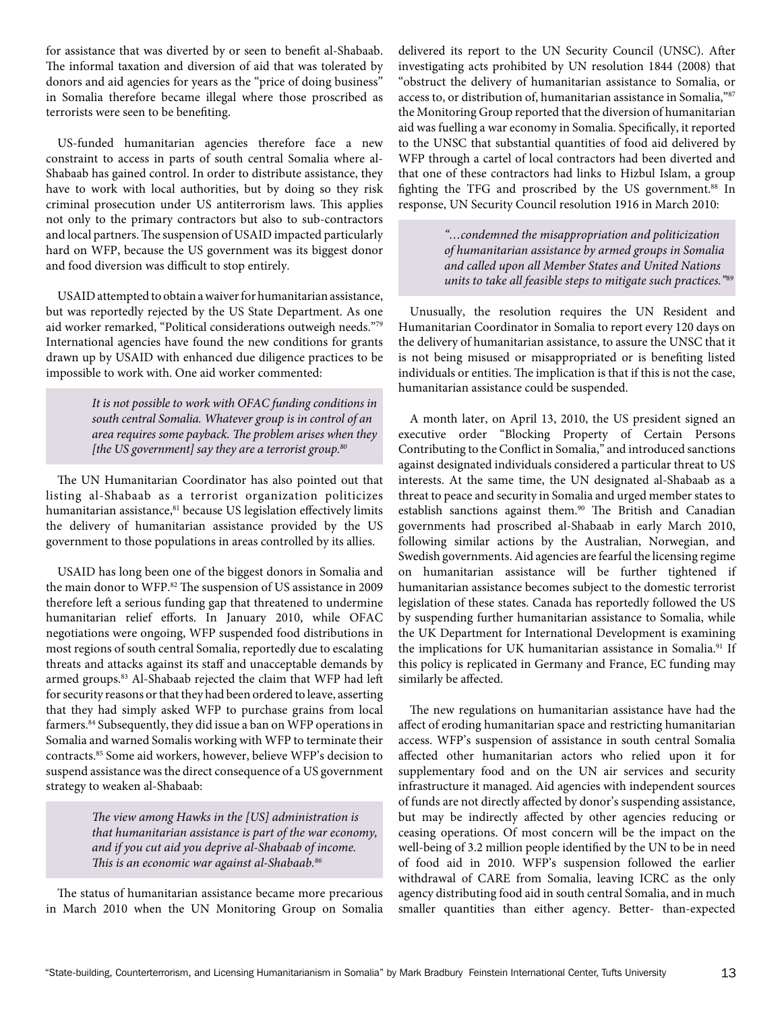for assistance that was diverted by or seen to benefit al-Shabaab. The informal taxation and diversion of aid that was tolerated by donors and aid agencies for years as the "price of doing business" in Somalia therefore became illegal where those proscribed as terrorists were seen to be benefiting.

US-funded humanitarian agencies therefore face a new constraint to access in parts of south central Somalia where al-Shabaab has gained control. In order to distribute assistance, they have to work with local authorities, but by doing so they risk criminal prosecution under US antiterrorism laws. This applies not only to the primary contractors but also to sub-contractors and local partners. The suspension of USAID impacted particularly hard on WFP, because the US government was its biggest donor and food diversion was difficult to stop entirely.

USAID attempted to obtain a waiver for humanitarian assistance, but was reportedly rejected by the US State Department. As one aid worker remarked, "Political considerations outweigh needs."79 International agencies have found the new conditions for grants drawn up by USAID with enhanced due diligence practices to be impossible to work with. One aid worker commented:

> *It is not possible to work with OFAC funding conditions in south central Somalia. Whatever group is in control of an area requires some payback. The problem arises when they [the US government] say they are a terrorist group.80*

The UN Humanitarian Coordinator has also pointed out that listing al-Shabaab as a terrorist organization politicizes humanitarian assistance,<sup>81</sup> because US legislation effectively limits the delivery of humanitarian assistance provided by the US government to those populations in areas controlled by its allies.

USAID has long been one of the biggest donors in Somalia and the main donor to WFP.<sup>82</sup> The suspension of US assistance in 2009 therefore left a serious funding gap that threatened to undermine humanitarian relief efforts. In January 2010, while OFAC negotiations were ongoing, WFP suspended food distributions in most regions of south central Somalia, reportedly due to escalating threats and attacks against its staff and unacceptable demands by armed groups.<sup>83</sup> Al-Shabaab rejected the claim that WFP had left for security reasons or that they had been ordered to leave, asserting that they had simply asked WFP to purchase grains from local farmers.<sup>84</sup> Subsequently, they did issue a ban on WFP operations in Somalia and warned Somalis working with WFP to terminate their contracts.85 Some aid workers, however, believe WFP's decision to suspend assistance was the direct consequence of a US government strategy to weaken al-Shabaab:

> *The view among Hawks in the [US] administration is that humanitarian assistance is part of the war economy, and if you cut aid you deprive al-Shabaab of income. This is an economic war against al-Shabaab.86*

The status of humanitarian assistance became more precarious in March 2010 when the UN Monitoring Group on Somalia delivered its report to the UN Security Council (UNSC). After investigating acts prohibited by UN resolution 1844 (2008) that "obstruct the delivery of humanitarian assistance to Somalia, or access to, or distribution of, humanitarian assistance in Somalia,"87 the Monitoring Group reported that the diversion of humanitarian aid was fuelling a war economy in Somalia. Specifically, it reported to the UNSC that substantial quantities of food aid delivered by WFP through a cartel of local contractors had been diverted and that one of these contractors had links to Hizbul Islam, a group fighting the TFG and proscribed by the US government.<sup>88</sup> In response, UN Security Council resolution 1916 in March 2010:

> *"…condemned the misappropriation and politicization of humanitarian assistance by armed groups in Somalia and called upon all Member States and United Nations units to take all feasible steps to mitigate such practices."89*

Unusually, the resolution requires the UN Resident and Humanitarian Coordinator in Somalia to report every 120 days on the delivery of humanitarian assistance, to assure the UNSC that it is not being misused or misappropriated or is benefiting listed individuals or entities. The implication is that if this is not the case, humanitarian assistance could be suspended.

A month later, on April 13, 2010, the US president signed an executive order "Blocking Property of Certain Persons Contributing to the Conflict in Somalia," and introduced sanctions against designated individuals considered a particular threat to US interests. At the same time, the UN designated al-Shabaab as a threat to peace and security in Somalia and urged member states to establish sanctions against them.<sup>90</sup> The British and Canadian governments had proscribed al-Shabaab in early March 2010, following similar actions by the Australian, Norwegian, and Swedish governments. Aid agencies are fearful the licensing regime on humanitarian assistance will be further tightened if humanitarian assistance becomes subject to the domestic terrorist legislation of these states. Canada has reportedly followed the US by suspending further humanitarian assistance to Somalia, while the UK Department for International Development is examining the implications for UK humanitarian assistance in Somalia.<sup>91</sup> If this policy is replicated in Germany and France, EC funding may similarly be affected.

The new regulations on humanitarian assistance have had the affect of eroding humanitarian space and restricting humanitarian access. WFP's suspension of assistance in south central Somalia affected other humanitarian actors who relied upon it for supplementary food and on the UN air services and security infrastructure it managed. Aid agencies with independent sources of funds are not directly affected by donor's suspending assistance, but may be indirectly affected by other agencies reducing or ceasing operations. Of most concern will be the impact on the well-being of 3.2 million people identified by the UN to be in need of food aid in 2010. WFP's suspension followed the earlier withdrawal of CARE from Somalia, leaving ICRC as the only agency distributing food aid in south central Somalia, and in much smaller quantities than either agency. Better- than-expected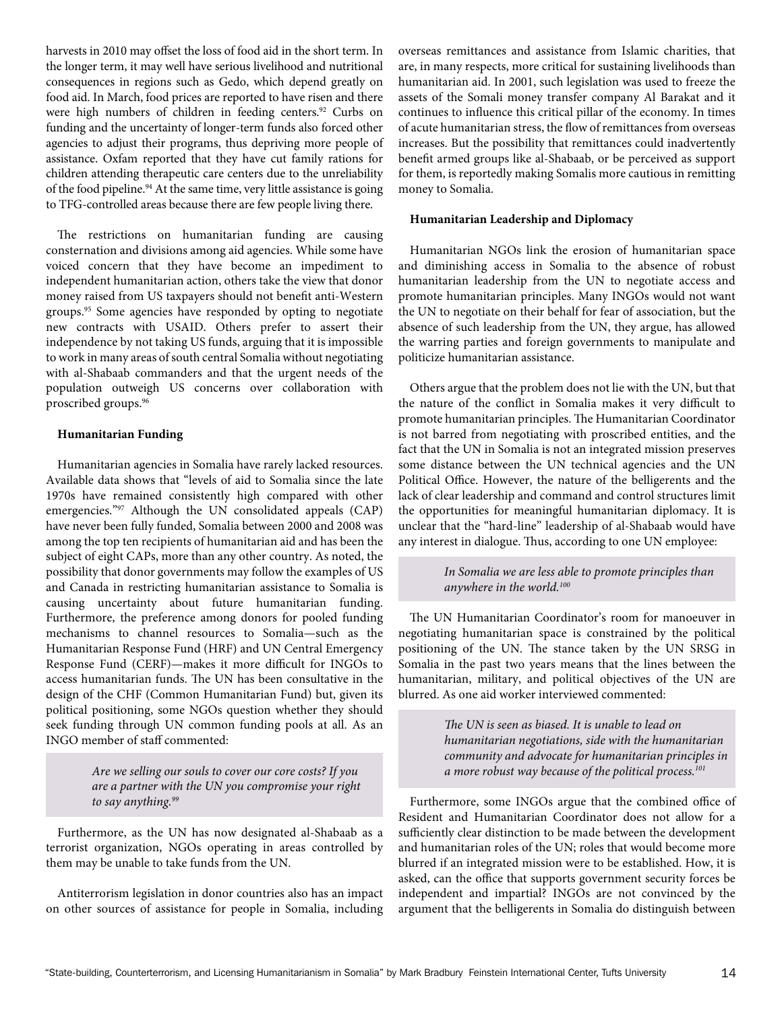harvests in 2010 may offset the loss of food aid in the short term. In the longer term, it may well have serious livelihood and nutritional consequences in regions such as Gedo, which depend greatly on food aid. In March, food prices are reported to have risen and there were high numbers of children in feeding centers.<sup>92</sup> Curbs on funding and the uncertainty of longer-term funds also forced other agencies to adjust their programs, thus depriving more people of assistance. Oxfam reported that they have cut family rations for children attending therapeutic care centers due to the unreliability of the food pipeline.<sup>94</sup> At the same time, very little assistance is going to TFG-controlled areas because there are few people living there.

The restrictions on humanitarian funding are causing consternation and divisions among aid agencies. While some have voiced concern that they have become an impediment to independent humanitarian action, others take the view that donor money raised from US taxpayers should not benefit anti-Western groups.95 Some agencies have responded by opting to negotiate new contracts with USAID. Others prefer to assert their independence by not taking US funds, arguing that it is impossible to work in many areas of south central Somalia without negotiating with al-Shabaab commanders and that the urgent needs of the population outweigh US concerns over collaboration with proscribed groups.96

### **Humanitarian Funding**

Humanitarian agencies in Somalia have rarely lacked resources. Available data shows that "levels of aid to Somalia since the late 1970s have remained consistently high compared with other emergencies."97 Although the UN consolidated appeals (CAP) have never been fully funded, Somalia between 2000 and 2008 was among the top ten recipients of humanitarian aid and has been the subject of eight CAPs, more than any other country. As noted, the possibility that donor governments may follow the examples of US and Canada in restricting humanitarian assistance to Somalia is causing uncertainty about future humanitarian funding. Furthermore, the preference among donors for pooled funding mechanisms to channel resources to Somalia—such as the Humanitarian Response Fund (HRF) and UN Central Emergency Response Fund (CERF)—makes it more difficult for INGOs to access humanitarian funds. The UN has been consultative in the design of the CHF (Common Humanitarian Fund) but, given its political positioning, some NGOs question whether they should seek funding through UN common funding pools at all. As an INGO member of staff commented:

> *Are we selling our souls to cover our core costs? If you are a partner with the UN you compromise your right to say anything.99*

Furthermore, as the UN has now designated al-Shabaab as a terrorist organization, NGOs operating in areas controlled by them may be unable to take funds from the UN.

Antiterrorism legislation in donor countries also has an impact on other sources of assistance for people in Somalia, including overseas remittances and assistance from Islamic charities, that are, in many respects, more critical for sustaining livelihoods than humanitarian aid. In 2001, such legislation was used to freeze the assets of the Somali money transfer company Al Barakat and it continues to influence this critical pillar of the economy. In times of acute humanitarian stress, the flow of remittances from overseas increases. But the possibility that remittances could inadvertently benefit armed groups like al-Shabaab, or be perceived as support for them, is reportedly making Somalis more cautious in remitting money to Somalia.

#### **Humanitarian Leadership and Diplomacy**

Humanitarian NGOs link the erosion of humanitarian space and diminishing access in Somalia to the absence of robust humanitarian leadership from the UN to negotiate access and promote humanitarian principles. Many INGOs would not want the UN to negotiate on their behalf for fear of association, but the absence of such leadership from the UN, they argue, has allowed the warring parties and foreign governments to manipulate and politicize humanitarian assistance.

Others argue that the problem does not lie with the UN, but that the nature of the conflict in Somalia makes it very difficult to promote humanitarian principles. The Humanitarian Coordinator is not barred from negotiating with proscribed entities, and the fact that the UN in Somalia is not an integrated mission preserves some distance between the UN technical agencies and the UN Political Office. However, the nature of the belligerents and the lack of clear leadership and command and control structures limit the opportunities for meaningful humanitarian diplomacy. It is unclear that the "hard-line" leadership of al-Shabaab would have any interest in dialogue. Thus, according to one UN employee:

> *In Somalia we are less able to promote principles than anywhere in the world.100*

The UN Humanitarian Coordinator's room for manoeuver in negotiating humanitarian space is constrained by the political positioning of the UN. The stance taken by the UN SRSG in Somalia in the past two years means that the lines between the humanitarian, military, and political objectives of the UN are blurred. As one aid worker interviewed commented:

> *The UN is seen as biased. It is unable to lead on humanitarian negotiations, side with the humanitarian community and advocate for humanitarian principles in a more robust way because of the political process.101*

Furthermore, some INGOs argue that the combined office of Resident and Humanitarian Coordinator does not allow for a sufficiently clear distinction to be made between the development and humanitarian roles of the UN; roles that would become more blurred if an integrated mission were to be established. How, it is asked, can the office that supports government security forces be independent and impartial? INGOs are not convinced by the argument that the belligerents in Somalia do distinguish between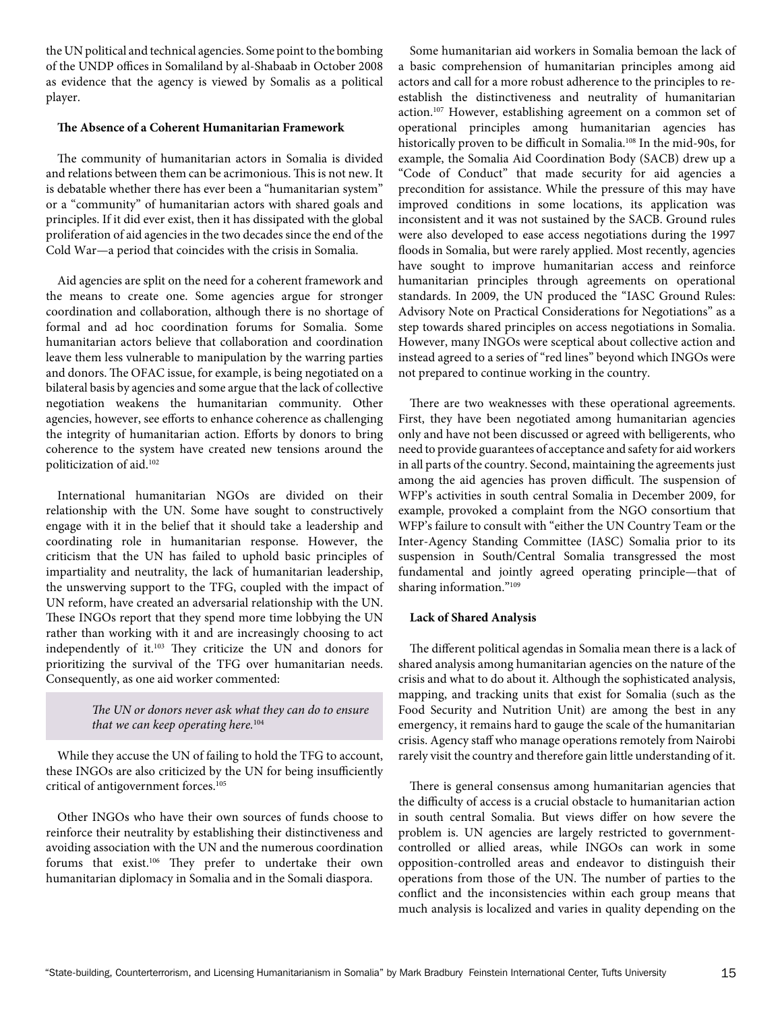the UN political and technical agencies. Some point to the bombing of the UNDP offices in Somaliland by al-Shabaab in October 2008 as evidence that the agency is viewed by Somalis as a political player.

### **The Absence of a Coherent Humanitarian Framework**

The community of humanitarian actors in Somalia is divided and relations between them can be acrimonious. This is not new. It is debatable whether there has ever been a "humanitarian system" or a "community" of humanitarian actors with shared goals and principles. If it did ever exist, then it has dissipated with the global proliferation of aid agencies in the two decades since the end of the Cold War—a period that coincides with the crisis in Somalia.

Aid agencies are split on the need for a coherent framework and the means to create one. Some agencies argue for stronger coordination and collaboration, although there is no shortage of formal and ad hoc coordination forums for Somalia. Some humanitarian actors believe that collaboration and coordination leave them less vulnerable to manipulation by the warring parties and donors. The OFAC issue, for example, is being negotiated on a bilateral basis by agencies and some argue that the lack of collective negotiation weakens the humanitarian community. Other agencies, however, see efforts to enhance coherence as challenging the integrity of humanitarian action. Efforts by donors to bring coherence to the system have created new tensions around the politicization of aid.102

International humanitarian NGOs are divided on their relationship with the UN. Some have sought to constructively engage with it in the belief that it should take a leadership and coordinating role in humanitarian response. However, the criticism that the UN has failed to uphold basic principles of impartiality and neutrality, the lack of humanitarian leadership, the unswerving support to the TFG, coupled with the impact of UN reform, have created an adversarial relationship with the UN. These INGOs report that they spend more time lobbying the UN rather than working with it and are increasingly choosing to act independently of it.103 They criticize the UN and donors for prioritizing the survival of the TFG over humanitarian needs. Consequently, as one aid worker commented:

> *The UN or donors never ask what they can do to ensure that we can keep operating here.*<sup>104</sup>

While they accuse the UN of failing to hold the TFG to account, these INGOs are also criticized by the UN for being insufficiently critical of antigovernment forces.<sup>105</sup>

Other INGOs who have their own sources of funds choose to reinforce their neutrality by establishing their distinctiveness and avoiding association with the UN and the numerous coordination forums that exist.106 They prefer to undertake their own humanitarian diplomacy in Somalia and in the Somali diaspora.

Some humanitarian aid workers in Somalia bemoan the lack of a basic comprehension of humanitarian principles among aid actors and call for a more robust adherence to the principles to reestablish the distinctiveness and neutrality of humanitarian action.107 However, establishing agreement on a common set of operational principles among humanitarian agencies has historically proven to be difficult in Somalia.<sup>108</sup> In the mid-90s, for example, the Somalia Aid Coordination Body (SACB) drew up a "Code of Conduct" that made security for aid agencies a precondition for assistance. While the pressure of this may have improved conditions in some locations, its application was inconsistent and it was not sustained by the SACB. Ground rules were also developed to ease access negotiations during the 1997 floods in Somalia, but were rarely applied. Most recently, agencies have sought to improve humanitarian access and reinforce humanitarian principles through agreements on operational standards. In 2009, the UN produced the "IASC Ground Rules: Advisory Note on Practical Considerations for Negotiations" as a step towards shared principles on access negotiations in Somalia. However, many INGOs were sceptical about collective action and instead agreed to a series of "red lines" beyond which INGOs were not prepared to continue working in the country.

There are two weaknesses with these operational agreements. First, they have been negotiated among humanitarian agencies only and have not been discussed or agreed with belligerents, who need to provide guarantees of acceptance and safety for aid workers in all parts of the country. Second, maintaining the agreements just among the aid agencies has proven difficult. The suspension of WFP's activities in south central Somalia in December 2009, for example, provoked a complaint from the NGO consortium that WFP's failure to consult with "either the UN Country Team or the Inter-Agency Standing Committee (IASC) Somalia prior to its suspension in South/Central Somalia transgressed the most fundamental and jointly agreed operating principle—that of sharing information."<sup>109</sup>

### **Lack of Shared Analysis**

The different political agendas in Somalia mean there is a lack of shared analysis among humanitarian agencies on the nature of the crisis and what to do about it. Although the sophisticated analysis, mapping, and tracking units that exist for Somalia (such as the Food Security and Nutrition Unit) are among the best in any emergency, it remains hard to gauge the scale of the humanitarian crisis. Agency staff who manage operations remotely from Nairobi rarely visit the country and therefore gain little understanding of it.

There is general consensus among humanitarian agencies that the difficulty of access is a crucial obstacle to humanitarian action in south central Somalia. But views differ on how severe the problem is. UN agencies are largely restricted to governmentcontrolled or allied areas, while INGOs can work in some opposition-controlled areas and endeavor to distinguish their operations from those of the UN. The number of parties to the conflict and the inconsistencies within each group means that much analysis is localized and varies in quality depending on the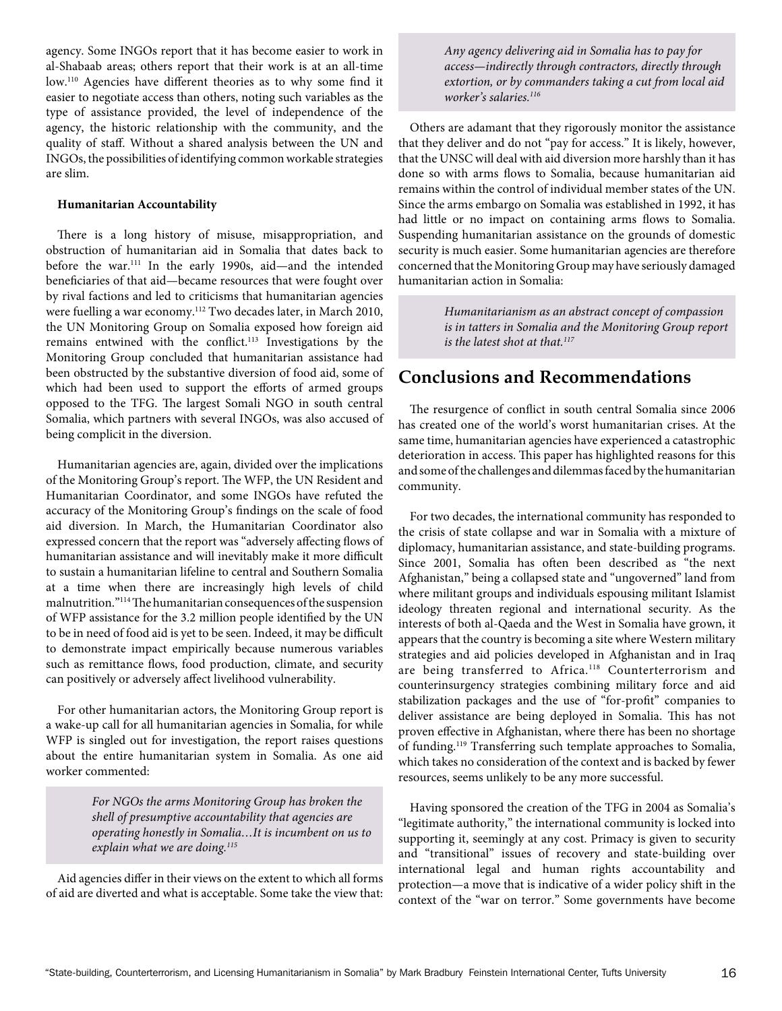agency. Some INGOs report that it has become easier to work in al-Shabaab areas; others report that their work is at an all-time low.110 Agencies have different theories as to why some find it easier to negotiate access than others, noting such variables as the type of assistance provided, the level of independence of the agency, the historic relationship with the community, and the quality of staff. Without a shared analysis between the UN and INGOs, the possibilities of identifying common workable strategies are slim.

### **Humanitarian Accountability**

There is a long history of misuse, misappropriation, and obstruction of humanitarian aid in Somalia that dates back to before the war.111 In the early 1990s, aid—and the intended beneficiaries of that aid—became resources that were fought over by rival factions and led to criticisms that humanitarian agencies were fuelling a war economy.112 Two decades later, in March 2010, the UN Monitoring Group on Somalia exposed how foreign aid remains entwined with the conflict.113 Investigations by the Monitoring Group concluded that humanitarian assistance had been obstructed by the substantive diversion of food aid, some of which had been used to support the efforts of armed groups opposed to the TFG. The largest Somali NGO in south central Somalia, which partners with several INGOs, was also accused of being complicit in the diversion.

Humanitarian agencies are, again, divided over the implications of the Monitoring Group's report. The WFP, the UN Resident and Humanitarian Coordinator, and some INGOs have refuted the accuracy of the Monitoring Group's findings on the scale of food aid diversion. In March, the Humanitarian Coordinator also expressed concern that the report was "adversely affecting flows of humanitarian assistance and will inevitably make it more difficult to sustain a humanitarian lifeline to central and Southern Somalia at a time when there are increasingly high levels of child malnutrition."114 The humanitarian consequences of the suspension of WFP assistance for the 3.2 million people identified by the UN to be in need of food aid is yet to be seen. Indeed, it may be difficult to demonstrate impact empirically because numerous variables such as remittance flows, food production, climate, and security can positively or adversely affect livelihood vulnerability.

For other humanitarian actors, the Monitoring Group report is a wake-up call for all humanitarian agencies in Somalia, for while WFP is singled out for investigation, the report raises questions about the entire humanitarian system in Somalia. As one aid worker commented:

> *For NGOs the arms Monitoring Group has broken the shell of presumptive accountability that agencies are operating honestly in Somalia…It is incumbent on us to explain what we are doing.115*

Aid agencies differ in their views on the extent to which all forms of aid are diverted and what is acceptable. Some take the view that:

*Any agency delivering aid in Somalia has to pay for access—indirectly through contractors, directly through extortion, or by commanders taking a cut from local aid worker's salaries.116*

Others are adamant that they rigorously monitor the assistance that they deliver and do not "pay for access." It is likely, however, that the UNSC will deal with aid diversion more harshly than it has done so with arms flows to Somalia, because humanitarian aid remains within the control of individual member states of the UN. Since the arms embargo on Somalia was established in 1992, it has had little or no impact on containing arms flows to Somalia. Suspending humanitarian assistance on the grounds of domestic security is much easier. Some humanitarian agencies are therefore concerned that the Monitoring Group may have seriously damaged humanitarian action in Somalia:

> *Humanitarianism as an abstract concept of compassion is in tatters in Somalia and the Monitoring Group report is the latest shot at that.117*

### **Conclusions and Recommendations**

The resurgence of conflict in south central Somalia since 2006 has created one of the world's worst humanitarian crises. At the same time, humanitarian agencies have experienced a catastrophic deterioration in access. This paper has highlighted reasons for this and some of the challenges and dilemmas faced by the humanitarian community.

For two decades, the international community has responded to the crisis of state collapse and war in Somalia with a mixture of diplomacy, humanitarian assistance, and state-building programs. Since 2001, Somalia has often been described as "the next Afghanistan," being a collapsed state and "ungoverned" land from where militant groups and individuals espousing militant Islamist ideology threaten regional and international security. As the interests of both al-Qaeda and the West in Somalia have grown, it appears that the country is becoming a site where Western military strategies and aid policies developed in Afghanistan and in Iraq are being transferred to Africa.<sup>118</sup> Counterterrorism and counterinsurgency strategies combining military force and aid stabilization packages and the use of "for-profit" companies to deliver assistance are being deployed in Somalia. This has not proven effective in Afghanistan, where there has been no shortage of funding.119 Transferring such template approaches to Somalia, which takes no consideration of the context and is backed by fewer resources, seems unlikely to be any more successful.

Having sponsored the creation of the TFG in 2004 as Somalia's "legitimate authority," the international community is locked into supporting it, seemingly at any cost. Primacy is given to security and "transitional" issues of recovery and state-building over international legal and human rights accountability and protection—a move that is indicative of a wider policy shift in the context of the "war on terror." Some governments have become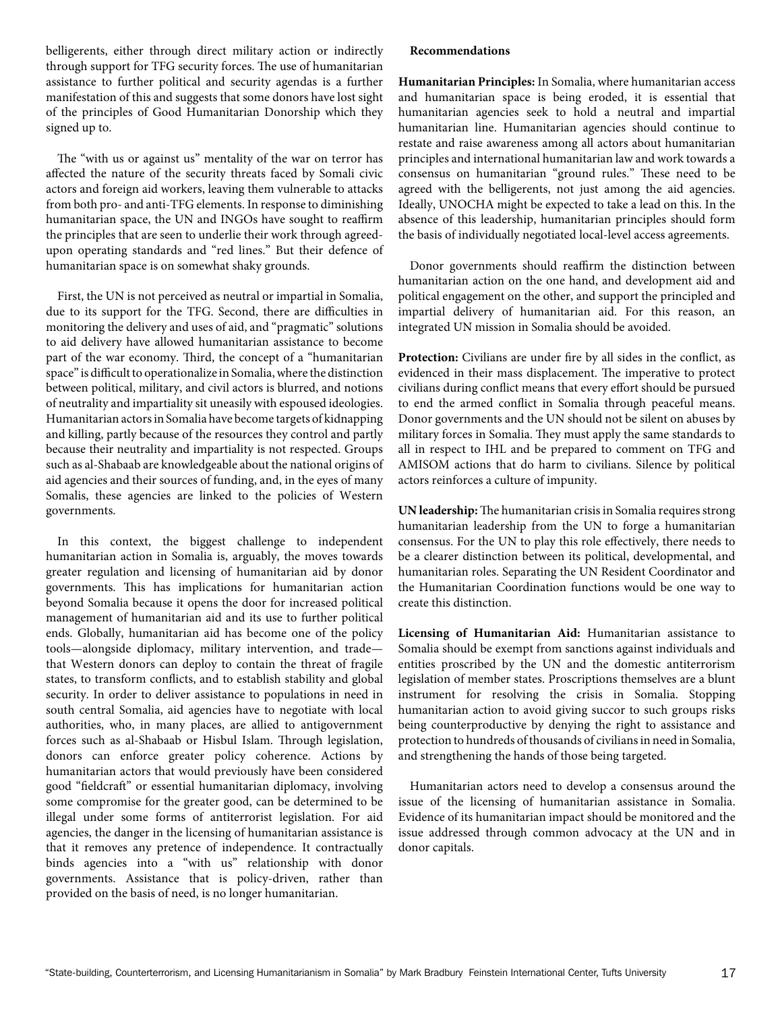belligerents, either through direct military action or indirectly through support for TFG security forces. The use of humanitarian assistance to further political and security agendas is a further manifestation of this and suggests that some donors have lost sight of the principles of Good Humanitarian Donorship which they signed up to.

The "with us or against us" mentality of the war on terror has affected the nature of the security threats faced by Somali civic actors and foreign aid workers, leaving them vulnerable to attacks from both pro- and anti-TFG elements. In response to diminishing humanitarian space, the UN and INGOs have sought to reaffirm the principles that are seen to underlie their work through agreedupon operating standards and "red lines." But their defence of humanitarian space is on somewhat shaky grounds.

First, the UN is not perceived as neutral or impartial in Somalia, due to its support for the TFG. Second, there are difficulties in monitoring the delivery and uses of aid, and "pragmatic" solutions to aid delivery have allowed humanitarian assistance to become part of the war economy. Third, the concept of a "humanitarian space" is difficult to operationalize in Somalia, where the distinction between political, military, and civil actors is blurred, and notions of neutrality and impartiality sit uneasily with espoused ideologies. Humanitarian actorsin Somalia have become targets of kidnapping and killing, partly because of the resources they control and partly because their neutrality and impartiality is not respected. Groups such as al-Shabaab are knowledgeable about the national origins of aid agencies and their sources of funding, and, in the eyes of many Somalis, these agencies are linked to the policies of Western governments.

In this context, the biggest challenge to independent humanitarian action in Somalia is, arguably, the moves towards greater regulation and licensing of humanitarian aid by donor governments. This has implications for humanitarian action beyond Somalia because it opens the door for increased political management of humanitarian aid and its use to further political ends. Globally, humanitarian aid has become one of the policy tools—alongside diplomacy, military intervention, and trade that Western donors can deploy to contain the threat of fragile states, to transform conflicts, and to establish stability and global security. In order to deliver assistance to populations in need in south central Somalia, aid agencies have to negotiate with local authorities, who, in many places, are allied to antigovernment forces such as al-Shabaab or Hisbul Islam. Through legislation, donors can enforce greater policy coherence. Actions by humanitarian actors that would previously have been considered good "fieldcraft" or essential humanitarian diplomacy, involving some compromise for the greater good, can be determined to be illegal under some forms of antiterrorist legislation. For aid agencies, the danger in the licensing of humanitarian assistance is that it removes any pretence of independence. It contractually binds agencies into a "with us" relationship with donor governments. Assistance that is policy-driven, rather than provided on the basis of need, is no longer humanitarian.

#### **Recommendations**

**Humanitarian Principles:** In Somalia, where humanitarian access and humanitarian space is being eroded, it is essential that humanitarian agencies seek to hold a neutral and impartial humanitarian line. Humanitarian agencies should continue to restate and raise awareness among all actors about humanitarian principles and international humanitarian law and work towards a consensus on humanitarian "ground rules." These need to be agreed with the belligerents, not just among the aid agencies. Ideally, UNOCHA might be expected to take a lead on this. In the absence of this leadership, humanitarian principles should form the basis of individually negotiated local-level access agreements.

Donor governments should reaffirm the distinction between humanitarian action on the one hand, and development aid and political engagement on the other, and support the principled and impartial delivery of humanitarian aid. For this reason, an integrated UN mission in Somalia should be avoided.

**Protection:** Civilians are under fire by all sides in the conflict, as evidenced in their mass displacement. The imperative to protect civilians during conflict means that every effort should be pursued to end the armed conflict in Somalia through peaceful means. Donor governments and the UN should not be silent on abuses by military forces in Somalia. They must apply the same standards to all in respect to IHL and be prepared to comment on TFG and AMISOM actions that do harm to civilians. Silence by political actors reinforces a culture of impunity.

**UN leadership:** The humanitarian crisis in Somalia requires strong humanitarian leadership from the UN to forge a humanitarian consensus. For the UN to play this role effectively, there needs to be a clearer distinction between its political, developmental, and humanitarian roles. Separating the UN Resident Coordinator and the Humanitarian Coordination functions would be one way to create this distinction.

**Licensing of Humanitarian Aid:** Humanitarian assistance to Somalia should be exempt from sanctions against individuals and entities proscribed by the UN and the domestic antiterrorism legislation of member states. Proscriptions themselves are a blunt instrument for resolving the crisis in Somalia. Stopping humanitarian action to avoid giving succor to such groups risks being counterproductive by denying the right to assistance and protection to hundreds of thousands of civilians in need in Somalia, and strengthening the hands of those being targeted.

Humanitarian actors need to develop a consensus around the issue of the licensing of humanitarian assistance in Somalia. Evidence of its humanitarian impact should be monitored and the issue addressed through common advocacy at the UN and in donor capitals.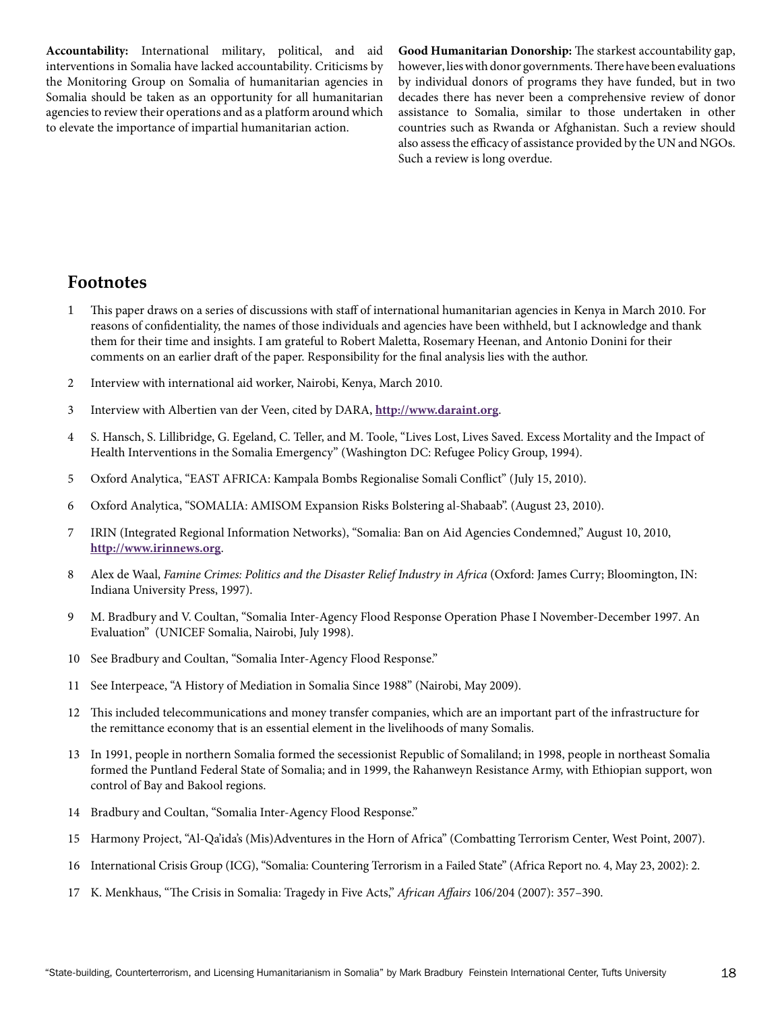**Accountability:** International military, political, and aid interventions in Somalia have lacked accountability. Criticisms by the Monitoring Group on Somalia of humanitarian agencies in Somalia should be taken as an opportunity for all humanitarian agencies to review their operations and as a platform around which to elevate the importance of impartial humanitarian action.

**Good Humanitarian Donorship:** The starkest accountability gap, however, lies with donor governments. There have been evaluations by individual donors of programs they have funded, but in two decades there has never been a comprehensive review of donor assistance to Somalia, similar to those undertaken in other countries such as Rwanda or Afghanistan. Such a review should also assess the efficacy of assistance provided by the UN and NGOs. Such a review is long overdue.

### **Footnotes**

- 1 This paper draws on a series of discussions with staff of international humanitarian agencies in Kenya in March 2010. For reasons of confidentiality, the names of those individuals and agencies have been withheld, but I acknowledge and thank them for their time and insights. I am grateful to Robert Maletta, Rosemary Heenan, and Antonio Donini for their comments on an earlier draft of the paper. Responsibility for the final analysis lies with the author.
- 2 Interview with international aid worker, Nairobi, Kenya, March 2010.
- 3 Interview with Albertien van der Veen, cited by DARA, **<http://www.daraint.org>**.
- 4 S. Hansch, S. Lillibridge, G. Egeland, C. Teller, and M. Toole, "Lives Lost, Lives Saved. Excess Mortality and the Impact of Health Interventions in the Somalia Emergency" (Washington DC: Refugee Policy Group, 1994).
- 5 Oxford Analytica, "EAST AFRICA: Kampala Bombs Regionalise Somali Conflict" (July 15, 2010).
- 6 Oxford Analytica, "SOMALIA: AMISOM Expansion Risks Bolstering al-Shabaab". (August 23, 2010).
- 7 IRIN (Integrated Regional Information Networks), "Somalia: Ban on Aid Agencies Condemned," August 10, 2010, **<http://www.irinnews.org>**.
- 8 Alex de Waal, *Famine Crimes: Politics and the Disaster Relief Industry in Africa* (Oxford: James Curry; Bloomington, IN: Indiana University Press, 1997).
- 9 M. Bradbury and V. Coultan, "Somalia Inter-Agency Flood Response Operation Phase I November-December 1997. An Evaluation" (UNICEF Somalia, Nairobi, July 1998).
- 10 See Bradbury and Coultan, "Somalia Inter-Agency Flood Response."
- 11 See Interpeace, "A History of Mediation in Somalia Since 1988" (Nairobi, May 2009).
- 12 This included telecommunications and money transfer companies, which are an important part of the infrastructure for the remittance economy that is an essential element in the livelihoods of many Somalis.
- 13 In 1991, people in northern Somalia formed the secessionist Republic of Somaliland; in 1998, people in northeast Somalia formed the Puntland Federal State of Somalia; and in 1999, the Rahanweyn Resistance Army, with Ethiopian support, won control of Bay and Bakool regions.
- 14 Bradbury and Coultan, "Somalia Inter-Agency Flood Response."
- 15 Harmony Project, "Al-Qa'ida's (Mis)Adventures in the Horn of Africa" (Combatting Terrorism Center, West Point, 2007).
- 16 International Crisis Group (ICG), "Somalia: Countering Terrorism in a Failed State" (Africa Report no. 4, May 23, 2002): 2.
- 17 K. Menkhaus, "The Crisis in Somalia: Tragedy in Five Acts," *African Affairs* 106/204 (2007): 357–390.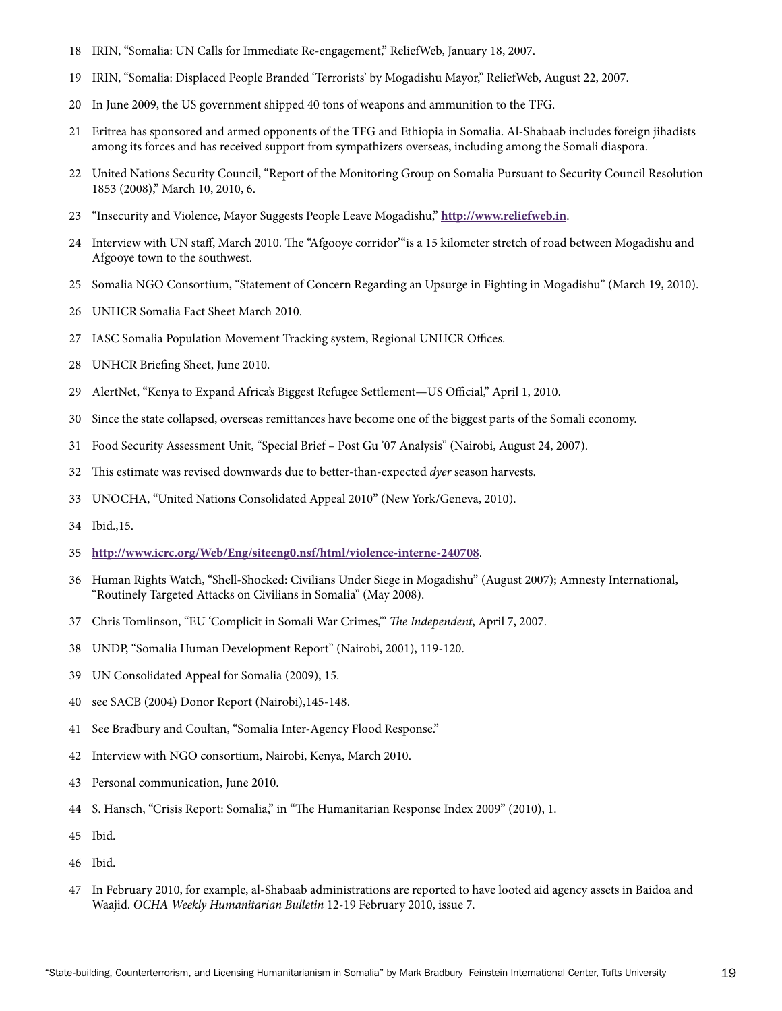- 18 IRIN, "Somalia: UN Calls for Immediate Re-engagement," ReliefWeb, January 18, 2007.
- 19 IRIN, "Somalia: Displaced People Branded 'Terrorists' by Mogadishu Mayor," ReliefWeb, August 22, 2007.
- 20 In June 2009, the US government shipped 40 tons of weapons and ammunition to the TFG.
- 21 Eritrea has sponsored and armed opponents of the TFG and Ethiopia in Somalia. Al-Shabaab includes foreign jihadists among its forces and has received support from sympathizers overseas, including among the Somali diaspora.
- 22 United Nations Security Council, "Report of the Monitoring Group on Somalia Pursuant to Security Council Resolution 1853 (2008)," March 10, 2010, 6.
- 23 "Insecurity and Violence, Mayor Suggests People Leave Mogadishu," **http://www.reliefweb.in**.
- 24 Interview with UN staff, March 2010. The "Afgooye corridor" is a 15 kilometer stretch of road between Mogadishu and Afgooye town to the southwest.
- 25 Somalia NGO Consortium, "Statement of Concern Regarding an Upsurge in Fighting in Mogadishu" (March 19, 2010).
- 26 UNHCR Somalia Fact Sheet March 2010.
- 27 IASC Somalia Population Movement Tracking system, Regional UNHCR Offices.
- 28 UNHCR Briefing Sheet, June 2010.
- 29 AlertNet, "Kenya to Expand Africa's Biggest Refugee Settlement—US Official," April 1, 2010.
- 30 Since the state collapsed, overseas remittances have become one of the biggest parts of the Somali economy.
- 31 Food Security Assessment Unit, "Special Brief Post Gu '07 Analysis" (Nairobi, August 24, 2007).
- 32 This estimate was revised downwards due to better-than-expected *dyer* season harvests.
- 33 UNOCHA, "United Nations Consolidated Appeal 2010" (New York/Geneva, 2010).
- 34 Ibid.,15.
- 35 **<http://www.icrc.org/Web/Eng/siteeng0.nsf/html/violence-interne-240708>**.
- 36 Human Rights Watch, "Shell-Shocked: Civilians Under Siege in Mogadishu" (August 2007); Amnesty International, "Routinely Targeted Attacks on Civilians in Somalia" (May 2008).
- 37 Chris Tomlinson, "EU 'Complicit in Somali War Crimes,'" *The Independent*, April 7, 2007.
- 38 UNDP, "Somalia Human Development Report" (Nairobi, 2001), 119-120.
- 39 UN Consolidated Appeal for Somalia (2009), 15.
- 40 see SACB (2004) Donor Report (Nairobi),145-148.
- 41 See Bradbury and Coultan, "Somalia Inter-Agency Flood Response."
- 42 Interview with NGO consortium, Nairobi, Kenya, March 2010.
- 43 Personal communication, June 2010.
- 44 S. Hansch, "Crisis Report: Somalia," in "The Humanitarian Response Index 2009" (2010), 1.
- 45 Ibid.
- 46 Ibid.
- 47 In February 2010, for example, al-Shabaab administrations are reported to have looted aid agency assets in Baidoa and Waajid. *OCHA Weekly Humanitarian Bulletin* 12-19 February 2010, issue 7.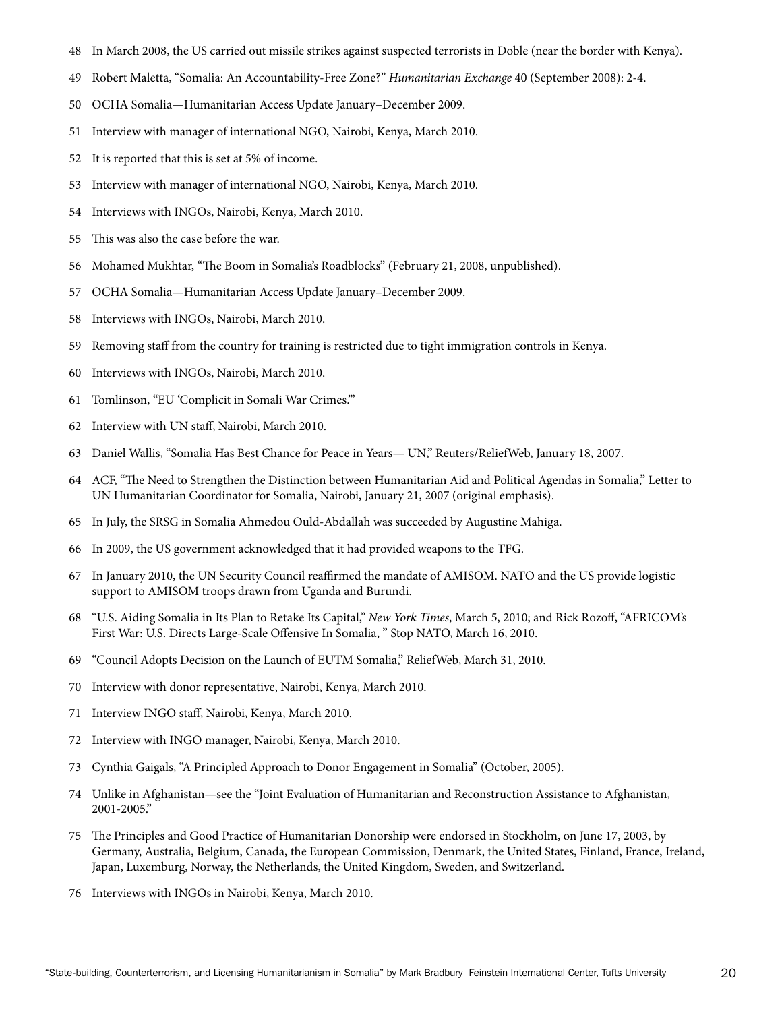- 48 In March 2008, the US carried out missile strikes against suspected terrorists in Doble (near the border with Kenya).
- 49 Robert Maletta, "Somalia: An Accountability-Free Zone?" *Humanitarian Exchange* 40 (September 2008): 2-4.
- 50 OCHA Somalia—Humanitarian Access Update January–December 2009.
- 51 Interview with manager of international NGO, Nairobi, Kenya, March 2010.
- 52 It is reported that this is set at 5% of income.
- 53 Interview with manager of international NGO, Nairobi, Kenya, March 2010.
- 54 Interviews with INGOs, Nairobi, Kenya, March 2010.
- 55 This was also the case before the war.
- 56 Mohamed Mukhtar, "The Boom in Somalia's Roadblocks" (February 21, 2008, unpublished).
- 57 OCHA Somalia—Humanitarian Access Update January–December 2009.
- 58 Interviews with INGOs, Nairobi, March 2010.
- 59 Removing staff from the country for training is restricted due to tight immigration controls in Kenya.
- 60 Interviews with INGOs, Nairobi, March 2010.
- 61 Tomlinson, "EU 'Complicit in Somali War Crimes.'"
- 62 Interview with UN staff, Nairobi, March 2010.
- 63 Daniel Wallis, "Somalia Has Best Chance for Peace in Years— UN," Reuters/ReliefWeb, January 18, 2007.
- 64 ACF, "The Need to Strengthen the Distinction between Humanitarian Aid and Political Agendas in Somalia," Letter to UN Humanitarian Coordinator for Somalia, Nairobi, January 21, 2007 (original emphasis).
- 65 In July, the SRSG in Somalia Ahmedou Ould-Abdallah was succeeded by Augustine Mahiga.
- 66 In 2009, the US government acknowledged that it had provided weapons to the TFG.
- 67 In January 2010, the UN Security Council reaffirmed the mandate of AMISOM. NATO and the US provide logistic support to AMISOM troops drawn from Uganda and Burundi.
- 68 "U.S. Aiding Somalia in Its Plan to Retake Its Capital," *New York Times*, March 5, 2010; and Rick Rozoff, "AFRICOM's First War: U.S. Directs Large-Scale Offensive In Somalia, " Stop NATO, March 16, 2010.
- 69 "Council Adopts Decision on the Launch of EUTM Somalia," ReliefWeb, March 31, 2010.
- 70 Interview with donor representative, Nairobi, Kenya, March 2010.
- 71 Interview INGO staff, Nairobi, Kenya, March 2010.
- 72 Interview with INGO manager, Nairobi, Kenya, March 2010.
- 73 Cynthia Gaigals, "A Principled Approach to Donor Engagement in Somalia" (October, 2005).
- 74 Unlike in Afghanistan—see the "Joint Evaluation of Humanitarian and Reconstruction Assistance to Afghanistan, 2001-2005."
- 75 The Principles and Good Practice of Humanitarian Donorship were endorsed in Stockholm, on June 17, 2003, by Germany, Australia, Belgium, Canada, the European Commission, Denmark, the United States, Finland, France, Ireland, Japan, Luxemburg, Norway, the Netherlands, the United Kingdom, Sweden, and Switzerland.
- 76 Interviews with INGOs in Nairobi, Kenya, March 2010.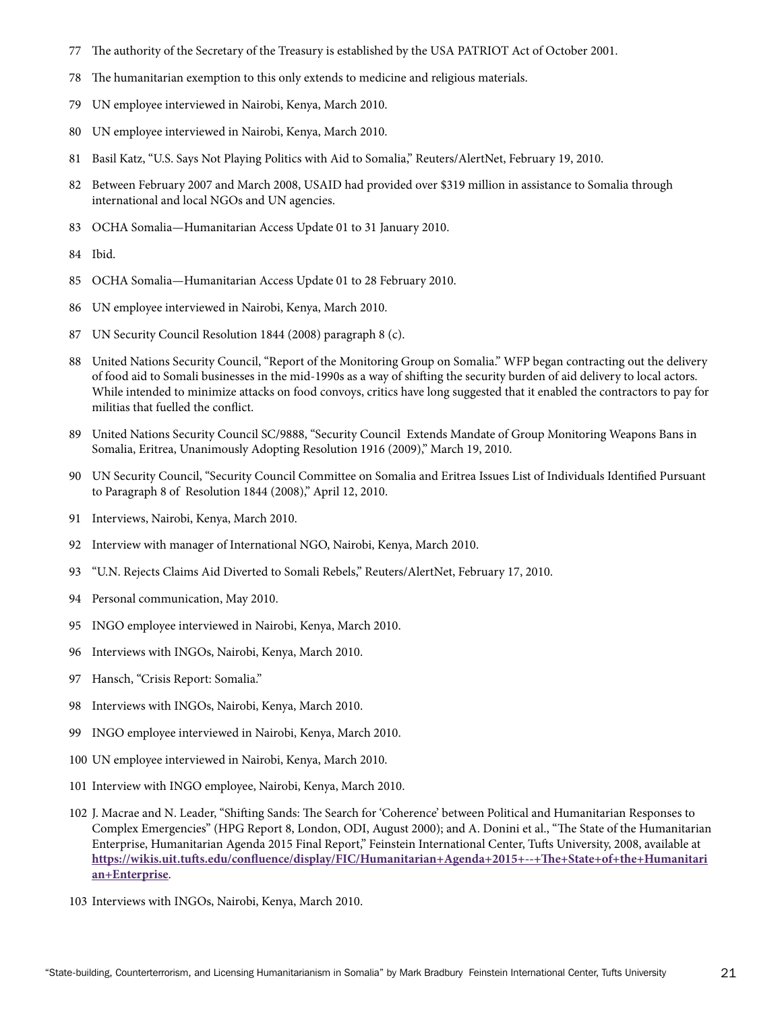- 77 The authority of the Secretary of the Treasury is established by the USA PATRIOT Act of October 2001.
- 78 The humanitarian exemption to this only extends to medicine and religious materials.
- 79 UN employee interviewed in Nairobi, Kenya, March 2010.
- 80 UN employee interviewed in Nairobi, Kenya, March 2010.
- 81 Basil Katz, "U.S. Says Not Playing Politics with Aid to Somalia," Reuters/AlertNet, February 19, 2010.
- 82 Between February 2007 and March 2008, USAID had provided over \$319 million in assistance to Somalia through international and local NGOs and UN agencies.
- 83 OCHA Somalia—Humanitarian Access Update 01 to 31 January 2010.
- 84 Ibid.
- 85 OCHA Somalia—Humanitarian Access Update 01 to 28 February 2010.
- 86 UN employee interviewed in Nairobi, Kenya, March 2010.
- 87 UN Security Council Resolution 1844 (2008) paragraph 8 (c).
- 88 United Nations Security Council, "Report of the Monitoring Group on Somalia." WFP began contracting out the delivery of food aid to Somali businesses in the mid-1990s as a way of shifting the security burden of aid delivery to local actors. While intended to minimize attacks on food convoys, critics have long suggested that it enabled the contractors to pay for militias that fuelled the conflict.
- 89 United Nations Security Council SC/9888, "Security Council Extends Mandate of Group Monitoring Weapons Bans in Somalia, Eritrea, Unanimously Adopting Resolution 1916 (2009)," March 19, 2010.
- 90 UN Security Council, "Security Council Committee on Somalia and Eritrea Issues List of Individuals Identified Pursuant to Paragraph 8 of Resolution 1844 (2008)," April 12, 2010.
- 91 Interviews, Nairobi, Kenya, March 2010.
- 92 Interview with manager of International NGO, Nairobi, Kenya, March 2010.
- 93 "U.N. Rejects Claims Aid Diverted to Somali Rebels," Reuters/AlertNet, February 17, 2010.
- 94 Personal communication, May 2010.
- 95 INGO employee interviewed in Nairobi, Kenya, March 2010.
- 96 Interviews with INGOs, Nairobi, Kenya, March 2010.
- 97 Hansch, "Crisis Report: Somalia."
- 98 Interviews with INGOs, Nairobi, Kenya, March 2010.
- 99 INGO employee interviewed in Nairobi, Kenya, March 2010.
- 100 UN employee interviewed in Nairobi, Kenya, March 2010.
- 101 Interview with INGO employee, Nairobi, Kenya, March 2010.
- 102 J. Macrae and N. Leader, "Shifting Sands: The Search for 'Coherence' between Political and Humanitarian Responses to Complex Emergencies" (HPG Report 8, London, ODI, August 2000); and A. Donini et al., "The State of the Humanitarian Enterprise, Humanitarian Agenda 2015 Final Report," Feinstein International Center, Tufts University, 2008, available at **[https://wikis.uit.tufts.edu/confluence/display/FIC/Humanitarian+Agenda+2015+--+The+State+of+the+Humanitari](https://wikis.uit.tufts.edu/confluence/display/FIC/Humanitarian+Agenda+2015+--+The+State+of+the+Humanitarian+Enterprise) an+Enterprise**.
- 103 Interviews with INGOs, Nairobi, Kenya, March 2010.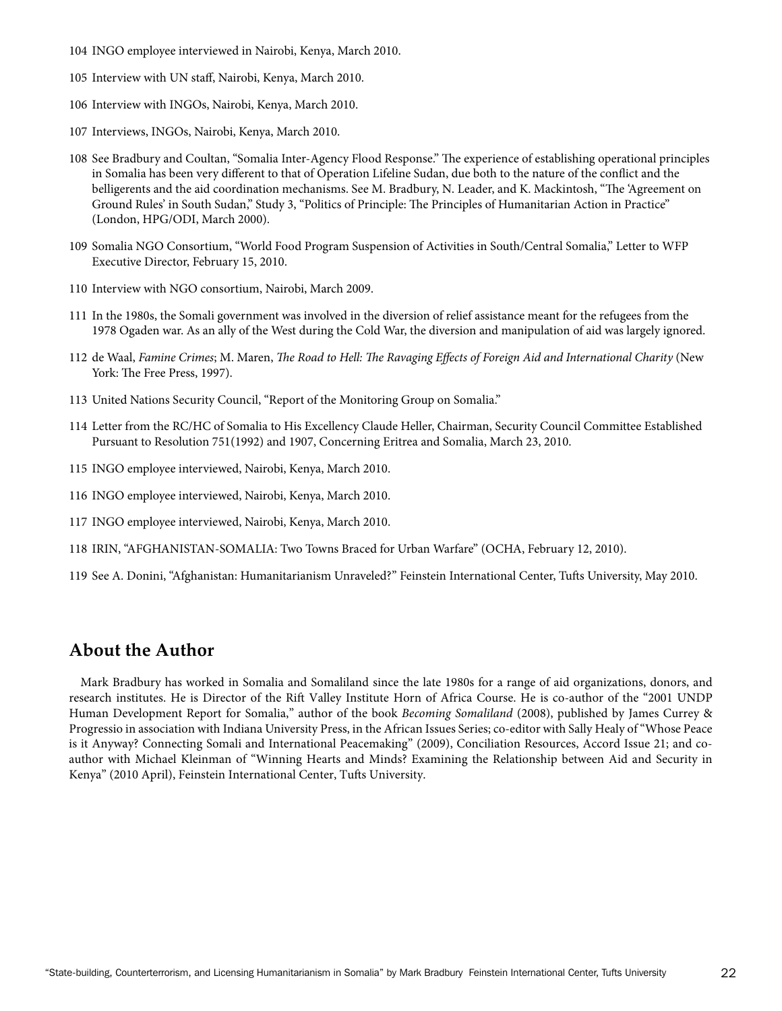- 104 INGO employee interviewed in Nairobi, Kenya, March 2010.
- 105 Interview with UN staff, Nairobi, Kenya, March 2010.
- 106 Interview with INGOs, Nairobi, Kenya, March 2010.
- 107 Interviews, INGOs, Nairobi, Kenya, March 2010.
- 108 See Bradbury and Coultan, "Somalia Inter-Agency Flood Response." The experience of establishing operational principles in Somalia has been very different to that of Operation Lifeline Sudan, due both to the nature of the conflict and the belligerents and the aid coordination mechanisms. See M. Bradbury, N. Leader, and K. Mackintosh, "The 'Agreement on Ground Rules' in South Sudan," Study 3, "Politics of Principle: The Principles of Humanitarian Action in Practice" (London, HPG/ODI, March 2000).
- 109 Somalia NGO Consortium, "World Food Program Suspension of Activities in South/Central Somalia," Letter to WFP Executive Director, February 15, 2010.
- 110 Interview with NGO consortium, Nairobi, March 2009.
- 111 In the 1980s, the Somali government was involved in the diversion of relief assistance meant for the refugees from the 1978 Ogaden war. As an ally of the West during the Cold War, the diversion and manipulation of aid was largely ignored.
- 112 de Waal, *Famine Crimes*; M. Maren, *The Road to Hell: The Ravaging Effects of Foreign Aid and International Charity* (New York: The Free Press, 1997).
- 113 United Nations Security Council, "Report of the Monitoring Group on Somalia."
- 114 Letter from the RC/HC of Somalia to His Excellency Claude Heller, Chairman, Security Council Committee Established Pursuant to Resolution 751(1992) and 1907, Concerning Eritrea and Somalia, March 23, 2010.
- 115 INGO employee interviewed, Nairobi, Kenya, March 2010.
- 116 INGO employee interviewed, Nairobi, Kenya, March 2010.
- 117 INGO employee interviewed, Nairobi, Kenya, March 2010.
- 118 IRIN, "AFGHANISTAN-SOMALIA: Two Towns Braced for Urban Warfare" (OCHA, February 12, 2010).
- 119 See A. Donini, "Afghanistan: Humanitarianism Unraveled?" Feinstein International Center, Tufts University, May 2010.

### **About the Author**

Mark Bradbury has worked in Somalia and Somaliland since the late 1980s for a range of aid organizations, donors, and research institutes. He is Director of the Rift Valley Institute Horn of Africa Course. He is co-author of the "2001 UNDP Human Development Report for Somalia," author of the book *Becoming Somaliland* (2008), published by James Currey & Progressio in association with Indiana University Press, in the African Issues Series; co-editor with Sally Healy of"Whose Peace is it Anyway? Connecting Somali and International Peacemaking" (2009), Conciliation Resources, Accord Issue 21; and coauthor with Michael Kleinman of "Winning Hearts and Minds? Examining the Relationship between Aid and Security in Kenya" (2010 April), Feinstein International Center, Tufts University.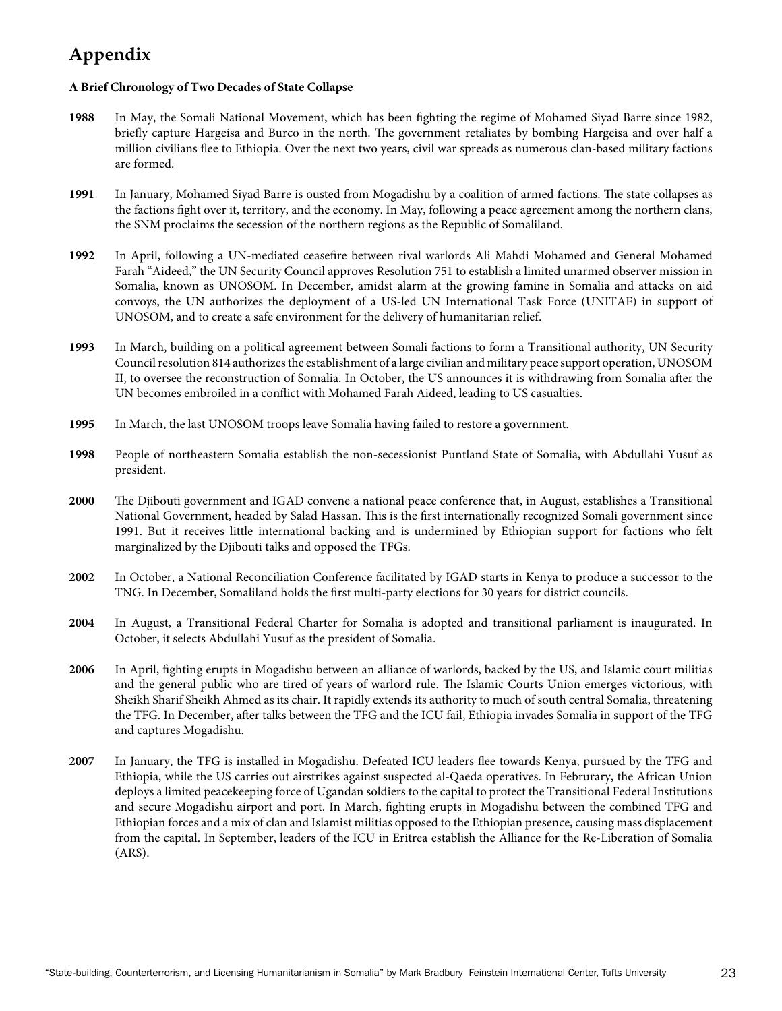# **Appendix**

### **A Brief Chronology of Two Decades of State Collapse**

- **1988** In May, the Somali National Movement, which has been fighting the regime of Mohamed Siyad Barre since 1982, briefly capture Hargeisa and Burco in the north. The government retaliates by bombing Hargeisa and over half a million civilians flee to Ethiopia. Over the next two years, civil war spreads as numerous clan-based military factions are formed.
- **1991** In January, Mohamed Siyad Barre is ousted from Mogadishu by a coalition of armed factions. The state collapses as the factions fight over it, territory, and the economy. In May, following a peace agreement among the northern clans, the SNM proclaims the secession of the northern regions as the Republic of Somaliland.
- **1992** In April, following a UN-mediated ceasefire between rival warlords Ali Mahdi Mohamed and General Mohamed Farah "Aideed," the UN Security Council approves Resolution 751 to establish a limited unarmed observer mission in Somalia, known as UNOSOM. In December, amidst alarm at the growing famine in Somalia and attacks on aid convoys, the UN authorizes the deployment of a US-led UN International Task Force (UNITAF) in support of UNOSOM, and to create a safe environment for the delivery of humanitarian relief.
- **1993** In March, building on a political agreement between Somali factions to form a Transitional authority, UN Security Council resolution 814 authorizes the establishment of a large civilian and military peace support operation, UNOSOM II, to oversee the reconstruction of Somalia. In October, the US announces it is withdrawing from Somalia after the UN becomes embroiled in a conflict with Mohamed Farah Aideed, leading to US casualties.
- **1995** In March, the last UNOSOM troops leave Somalia having failed to restore a government.
- **1998** People of northeastern Somalia establish the non-secessionist Puntland State of Somalia, with Abdullahi Yusuf as president.
- **2000** The Djibouti government and IGAD convene a national peace conference that, in August, establishes a Transitional National Government, headed by Salad Hassan. This is the first internationally recognized Somali government since 1991. But it receives little international backing and is undermined by Ethiopian support for factions who felt marginalized by the Djibouti talks and opposed the TFGs.
- **2002** In October, a National Reconciliation Conference facilitated by IGAD starts in Kenya to produce a successor to the TNG. In December, Somaliland holds the first multi-party elections for 30 years for district councils.
- **2004** In August, a Transitional Federal Charter for Somalia is adopted and transitional parliament is inaugurated. In October, it selects Abdullahi Yusuf as the president of Somalia.
- **2006** In April, fighting erupts in Mogadishu between an alliance of warlords, backed by the US, and Islamic court militias and the general public who are tired of years of warlord rule. The Islamic Courts Union emerges victorious, with Sheikh Sharif Sheikh Ahmed as its chair. It rapidly extends its authority to much of south central Somalia, threatening the TFG. In December, after talks between the TFG and the ICU fail, Ethiopia invades Somalia in support of the TFG and captures Mogadishu.
- **2007** In January, the TFG is installed in Mogadishu. Defeated ICU leaders flee towards Kenya, pursued by the TFG and Ethiopia, while the US carries out airstrikes against suspected al-Qaeda operatives. In Februrary, the African Union deploys a limited peacekeeping force of Ugandan soldiers to the capital to protect the Transitional Federal Institutions and secure Mogadishu airport and port. In March, fighting erupts in Mogadishu between the combined TFG and Ethiopian forces and a mix of clan and Islamist militias opposed to the Ethiopian presence, causing mass displacement from the capital. In September, leaders of the ICU in Eritrea establish the Alliance for the Re-Liberation of Somalia (ARS).